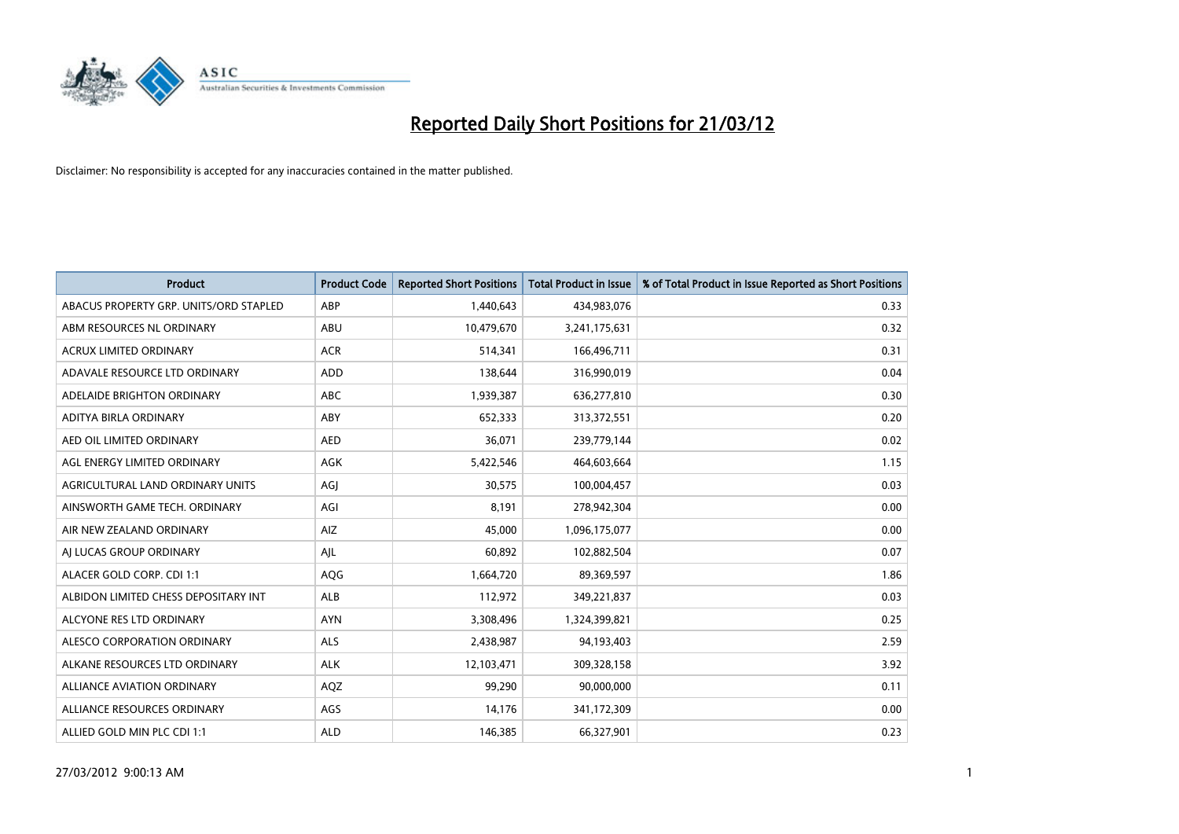

| <b>Product</b>                         | <b>Product Code</b> | <b>Reported Short Positions</b> | <b>Total Product in Issue</b> | % of Total Product in Issue Reported as Short Positions |
|----------------------------------------|---------------------|---------------------------------|-------------------------------|---------------------------------------------------------|
| ABACUS PROPERTY GRP. UNITS/ORD STAPLED | ABP                 | 1,440,643                       | 434,983,076                   | 0.33                                                    |
| ABM RESOURCES NL ORDINARY              | ABU                 | 10,479,670                      | 3,241,175,631                 | 0.32                                                    |
| <b>ACRUX LIMITED ORDINARY</b>          | <b>ACR</b>          | 514,341                         | 166,496,711                   | 0.31                                                    |
| ADAVALE RESOURCE LTD ORDINARY          | <b>ADD</b>          | 138,644                         | 316,990,019                   | 0.04                                                    |
| ADELAIDE BRIGHTON ORDINARY             | <b>ABC</b>          | 1,939,387                       | 636,277,810                   | 0.30                                                    |
| ADITYA BIRLA ORDINARY                  | ABY                 | 652,333                         | 313,372,551                   | 0.20                                                    |
| AED OIL LIMITED ORDINARY               | <b>AED</b>          | 36,071                          | 239,779,144                   | 0.02                                                    |
| AGL ENERGY LIMITED ORDINARY            | AGK                 | 5,422,546                       | 464,603,664                   | 1.15                                                    |
| AGRICULTURAL LAND ORDINARY UNITS       | AGJ                 | 30,575                          | 100,004,457                   | 0.03                                                    |
| AINSWORTH GAME TECH. ORDINARY          | AGI                 | 8,191                           | 278,942,304                   | 0.00                                                    |
| AIR NEW ZEALAND ORDINARY               | AIZ                 | 45,000                          | 1,096,175,077                 | 0.00                                                    |
| AI LUCAS GROUP ORDINARY                | AJL                 | 60,892                          | 102,882,504                   | 0.07                                                    |
| ALACER GOLD CORP. CDI 1:1              | <b>AQG</b>          | 1,664,720                       | 89,369,597                    | 1.86                                                    |
| ALBIDON LIMITED CHESS DEPOSITARY INT   | ALB                 | 112,972                         | 349,221,837                   | 0.03                                                    |
| ALCYONE RES LTD ORDINARY               | <b>AYN</b>          | 3,308,496                       | 1,324,399,821                 | 0.25                                                    |
| ALESCO CORPORATION ORDINARY            | ALS                 | 2,438,987                       | 94,193,403                    | 2.59                                                    |
| ALKANE RESOURCES LTD ORDINARY          | <b>ALK</b>          | 12,103,471                      | 309,328,158                   | 3.92                                                    |
| ALLIANCE AVIATION ORDINARY             | AQZ                 | 99,290                          | 90,000,000                    | 0.11                                                    |
| ALLIANCE RESOURCES ORDINARY            | AGS                 | 14,176                          | 341,172,309                   | 0.00                                                    |
| ALLIED GOLD MIN PLC CDI 1:1            | <b>ALD</b>          | 146,385                         | 66,327,901                    | 0.23                                                    |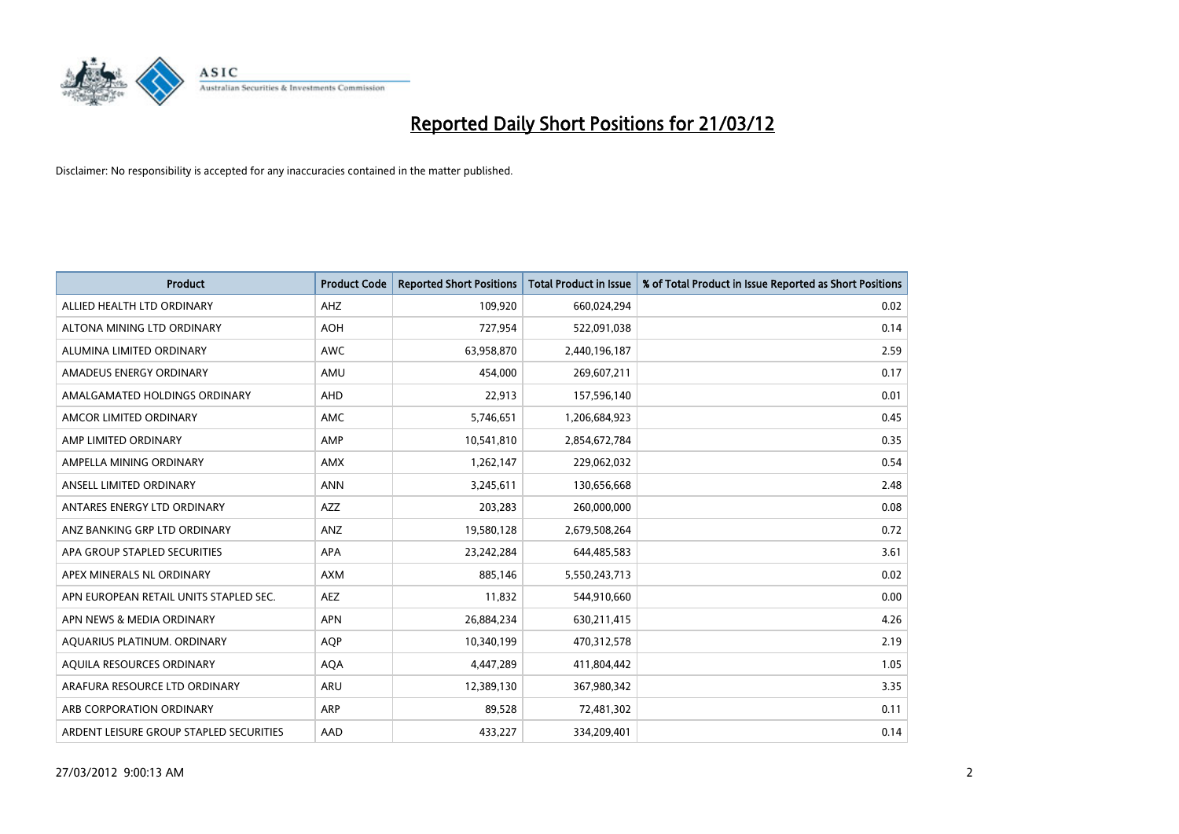

| <b>Product</b>                          | <b>Product Code</b> | <b>Reported Short Positions</b> | Total Product in Issue | % of Total Product in Issue Reported as Short Positions |
|-----------------------------------------|---------------------|---------------------------------|------------------------|---------------------------------------------------------|
| ALLIED HEALTH LTD ORDINARY              | AHZ                 | 109,920                         | 660,024,294            | 0.02                                                    |
| ALTONA MINING LTD ORDINARY              | <b>AOH</b>          | 727,954                         | 522,091,038            | 0.14                                                    |
| ALUMINA LIMITED ORDINARY                | <b>AWC</b>          | 63,958,870                      | 2,440,196,187          | 2.59                                                    |
| AMADEUS ENERGY ORDINARY                 | AMU                 | 454,000                         | 269,607,211            | 0.17                                                    |
| AMALGAMATED HOLDINGS ORDINARY           | AHD                 | 22,913                          | 157,596,140            | 0.01                                                    |
| AMCOR LIMITED ORDINARY                  | <b>AMC</b>          | 5,746,651                       | 1,206,684,923          | 0.45                                                    |
| AMP LIMITED ORDINARY                    | AMP                 | 10,541,810                      | 2,854,672,784          | 0.35                                                    |
| AMPELLA MINING ORDINARY                 | <b>AMX</b>          | 1,262,147                       | 229,062,032            | 0.54                                                    |
| ANSELL LIMITED ORDINARY                 | <b>ANN</b>          | 3,245,611                       | 130,656,668            | 2.48                                                    |
| ANTARES ENERGY LTD ORDINARY             | <b>AZZ</b>          | 203,283                         | 260,000,000            | 0.08                                                    |
| ANZ BANKING GRP LTD ORDINARY            | ANZ                 | 19,580,128                      | 2,679,508,264          | 0.72                                                    |
| APA GROUP STAPLED SECURITIES            | APA                 | 23,242,284                      | 644,485,583            | 3.61                                                    |
| APEX MINERALS NL ORDINARY               | <b>AXM</b>          | 885.146                         | 5,550,243,713          | 0.02                                                    |
| APN EUROPEAN RETAIL UNITS STAPLED SEC.  | <b>AEZ</b>          | 11,832                          | 544,910,660            | 0.00                                                    |
| APN NEWS & MEDIA ORDINARY               | <b>APN</b>          | 26,884,234                      | 630,211,415            | 4.26                                                    |
| AQUARIUS PLATINUM. ORDINARY             | <b>AOP</b>          | 10,340,199                      | 470,312,578            | 2.19                                                    |
| AQUILA RESOURCES ORDINARY               | <b>AQA</b>          | 4,447,289                       | 411,804,442            | 1.05                                                    |
| ARAFURA RESOURCE LTD ORDINARY           | ARU                 | 12,389,130                      | 367,980,342            | 3.35                                                    |
| ARB CORPORATION ORDINARY                | <b>ARP</b>          | 89,528                          | 72,481,302             | 0.11                                                    |
| ARDENT LEISURE GROUP STAPLED SECURITIES | AAD                 | 433,227                         | 334,209,401            | 0.14                                                    |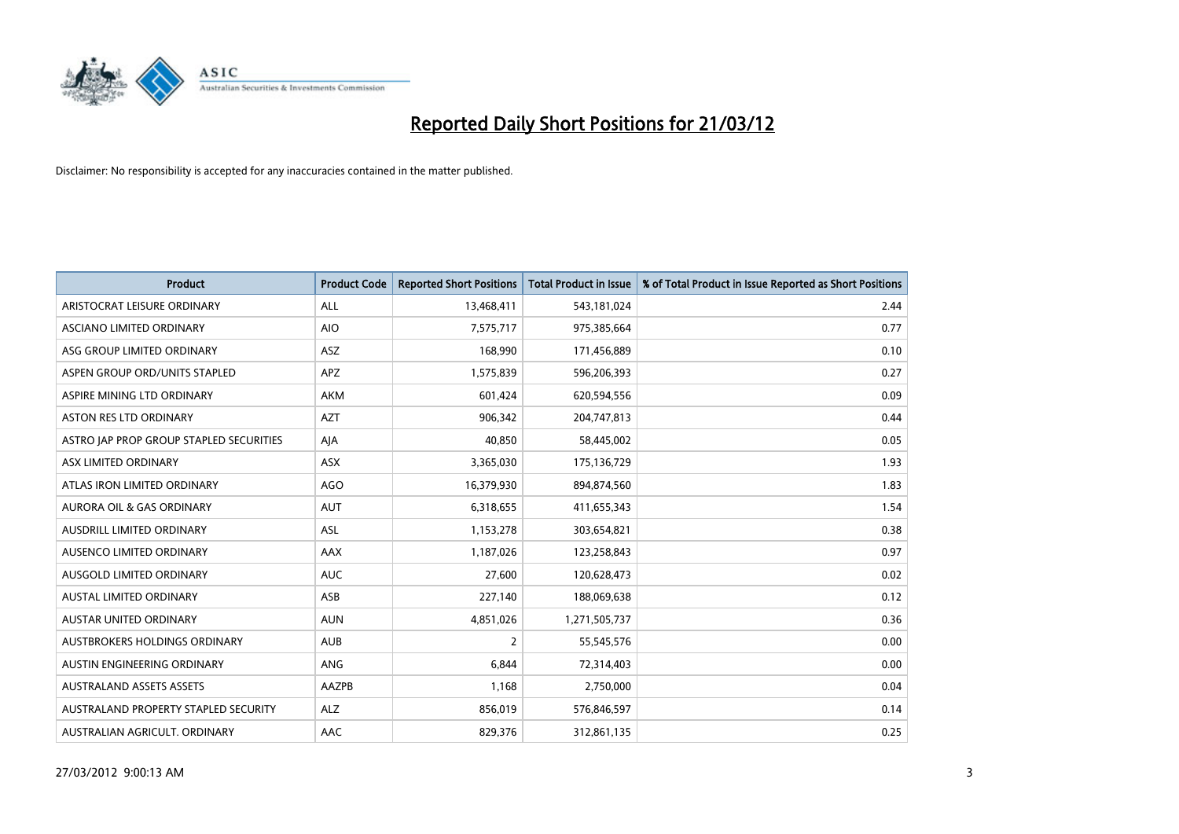

| <b>Product</b>                          | <b>Product Code</b> | <b>Reported Short Positions</b> | <b>Total Product in Issue</b> | % of Total Product in Issue Reported as Short Positions |
|-----------------------------------------|---------------------|---------------------------------|-------------------------------|---------------------------------------------------------|
| ARISTOCRAT LEISURE ORDINARY             | ALL                 | 13,468,411                      | 543,181,024                   | 2.44                                                    |
| ASCIANO LIMITED ORDINARY                | <b>AIO</b>          | 7,575,717                       | 975,385,664                   | 0.77                                                    |
| ASG GROUP LIMITED ORDINARY              | ASZ                 | 168,990                         | 171,456,889                   | 0.10                                                    |
| ASPEN GROUP ORD/UNITS STAPLED           | <b>APZ</b>          | 1,575,839                       | 596,206,393                   | 0.27                                                    |
| ASPIRE MINING LTD ORDINARY              | AKM                 | 601,424                         | 620,594,556                   | 0.09                                                    |
| <b>ASTON RES LTD ORDINARY</b>           | <b>AZT</b>          | 906,342                         | 204,747,813                   | 0.44                                                    |
| ASTRO JAP PROP GROUP STAPLED SECURITIES | AJA                 | 40.850                          | 58,445,002                    | 0.05                                                    |
| ASX LIMITED ORDINARY                    | ASX                 | 3,365,030                       | 175,136,729                   | 1.93                                                    |
| ATLAS IRON LIMITED ORDINARY             | <b>AGO</b>          | 16,379,930                      | 894,874,560                   | 1.83                                                    |
| AURORA OIL & GAS ORDINARY               | <b>AUT</b>          | 6,318,655                       | 411,655,343                   | 1.54                                                    |
| AUSDRILL LIMITED ORDINARY               | ASL                 | 1,153,278                       | 303,654,821                   | 0.38                                                    |
| AUSENCO LIMITED ORDINARY                | AAX                 | 1,187,026                       | 123,258,843                   | 0.97                                                    |
| AUSGOLD LIMITED ORDINARY                | <b>AUC</b>          | 27,600                          | 120,628,473                   | 0.02                                                    |
| <b>AUSTAL LIMITED ORDINARY</b>          | ASB                 | 227,140                         | 188,069,638                   | 0.12                                                    |
| AUSTAR UNITED ORDINARY                  | <b>AUN</b>          | 4,851,026                       | 1,271,505,737                 | 0.36                                                    |
| AUSTBROKERS HOLDINGS ORDINARY           | <b>AUB</b>          | $\overline{2}$                  | 55,545,576                    | 0.00                                                    |
| AUSTIN ENGINEERING ORDINARY             | ANG                 | 6,844                           | 72,314,403                    | 0.00                                                    |
| <b>AUSTRALAND ASSETS ASSETS</b>         | <b>AAZPB</b>        | 1,168                           | 2,750,000                     | 0.04                                                    |
| AUSTRALAND PROPERTY STAPLED SECURITY    | <b>ALZ</b>          | 856,019                         | 576,846,597                   | 0.14                                                    |
| AUSTRALIAN AGRICULT. ORDINARY           | AAC                 | 829,376                         | 312,861,135                   | 0.25                                                    |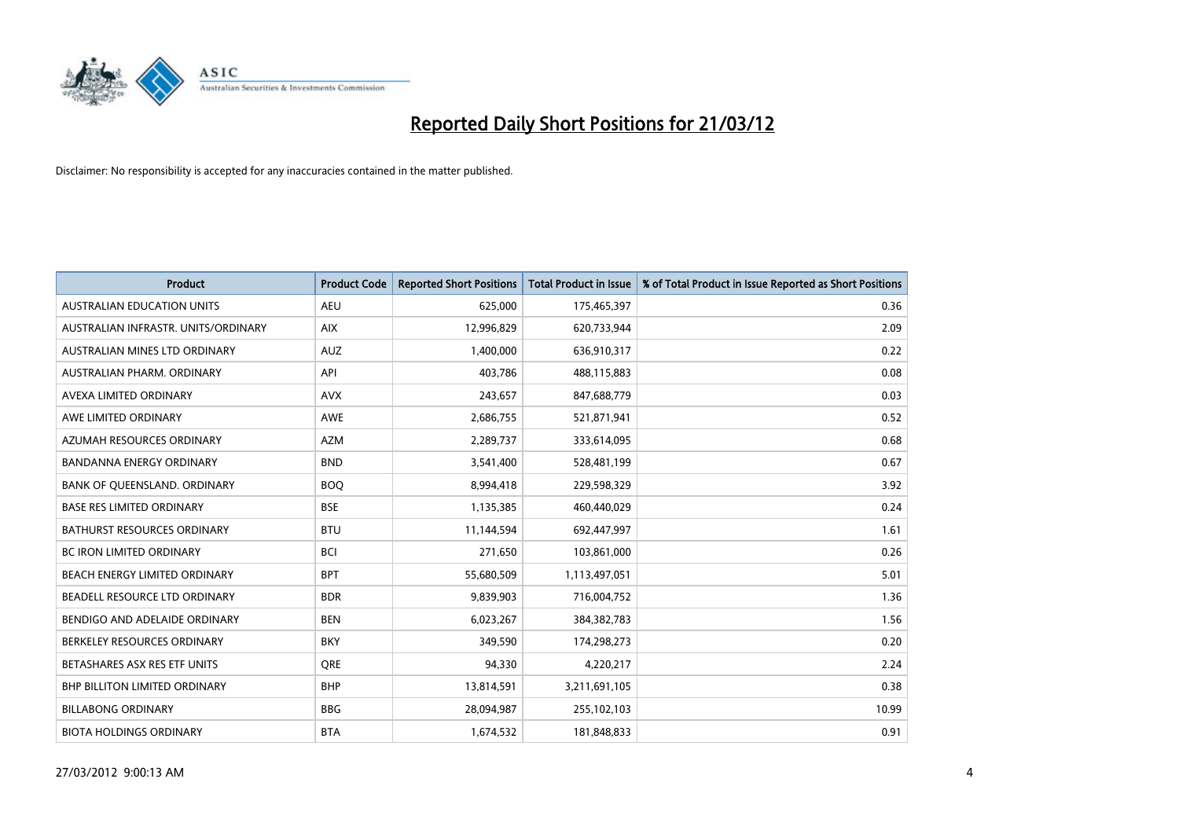

| <b>Product</b>                       | <b>Product Code</b> | <b>Reported Short Positions</b> | <b>Total Product in Issue</b> | % of Total Product in Issue Reported as Short Positions |
|--------------------------------------|---------------------|---------------------------------|-------------------------------|---------------------------------------------------------|
| <b>AUSTRALIAN EDUCATION UNITS</b>    | <b>AEU</b>          | 625,000                         | 175,465,397                   | 0.36                                                    |
| AUSTRALIAN INFRASTR. UNITS/ORDINARY  | <b>AIX</b>          | 12,996,829                      | 620,733,944                   | 2.09                                                    |
| AUSTRALIAN MINES LTD ORDINARY        | <b>AUZ</b>          | 1,400,000                       | 636,910,317                   | 0.22                                                    |
| AUSTRALIAN PHARM. ORDINARY           | API                 | 403,786                         | 488,115,883                   | 0.08                                                    |
| AVEXA LIMITED ORDINARY               | <b>AVX</b>          | 243,657                         | 847,688,779                   | 0.03                                                    |
| AWE LIMITED ORDINARY                 | AWE                 | 2,686,755                       | 521,871,941                   | 0.52                                                    |
| AZUMAH RESOURCES ORDINARY            | <b>AZM</b>          | 2,289,737                       | 333,614,095                   | 0.68                                                    |
| BANDANNA ENERGY ORDINARY             | <b>BND</b>          | 3,541,400                       | 528,481,199                   | 0.67                                                    |
| BANK OF QUEENSLAND. ORDINARY         | <b>BOQ</b>          | 8,994,418                       | 229,598,329                   | 3.92                                                    |
| <b>BASE RES LIMITED ORDINARY</b>     | <b>BSE</b>          | 1,135,385                       | 460,440,029                   | 0.24                                                    |
| <b>BATHURST RESOURCES ORDINARY</b>   | <b>BTU</b>          | 11,144,594                      | 692,447,997                   | 1.61                                                    |
| <b>BC IRON LIMITED ORDINARY</b>      | <b>BCI</b>          | 271,650                         | 103,861,000                   | 0.26                                                    |
| BEACH ENERGY LIMITED ORDINARY        | <b>BPT</b>          | 55,680,509                      | 1,113,497,051                 | 5.01                                                    |
| BEADELL RESOURCE LTD ORDINARY        | <b>BDR</b>          | 9,839,903                       | 716,004,752                   | 1.36                                                    |
| BENDIGO AND ADELAIDE ORDINARY        | <b>BEN</b>          | 6,023,267                       | 384,382,783                   | 1.56                                                    |
| BERKELEY RESOURCES ORDINARY          | <b>BKY</b>          | 349,590                         | 174,298,273                   | 0.20                                                    |
| BETASHARES ASX RES ETF UNITS         | <b>ORE</b>          | 94,330                          | 4,220,217                     | 2.24                                                    |
| <b>BHP BILLITON LIMITED ORDINARY</b> | <b>BHP</b>          | 13,814,591                      | 3,211,691,105                 | 0.38                                                    |
| <b>BILLABONG ORDINARY</b>            | <b>BBG</b>          | 28,094,987                      | 255,102,103                   | 10.99                                                   |
| <b>BIOTA HOLDINGS ORDINARY</b>       | <b>BTA</b>          | 1,674,532                       | 181,848,833                   | 0.91                                                    |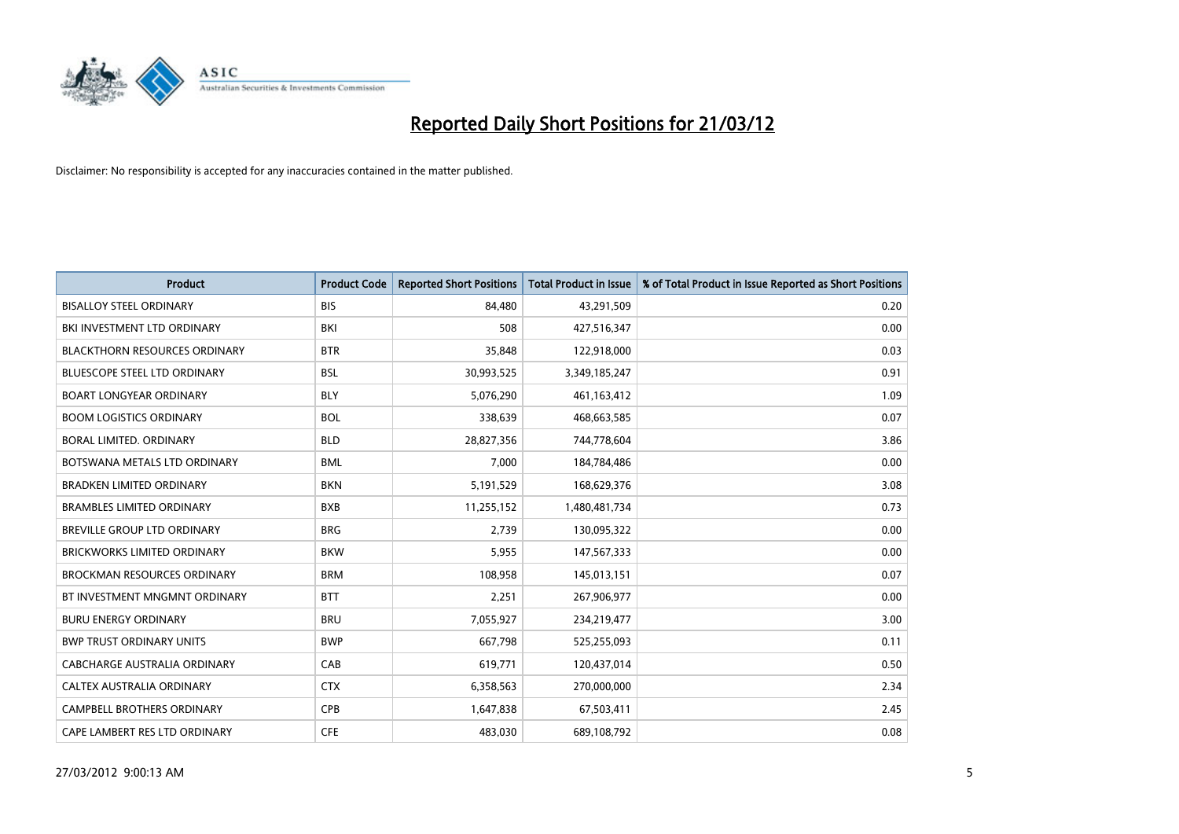

| <b>Product</b>                       | <b>Product Code</b> | <b>Reported Short Positions</b> | <b>Total Product in Issue</b> | % of Total Product in Issue Reported as Short Positions |
|--------------------------------------|---------------------|---------------------------------|-------------------------------|---------------------------------------------------------|
| <b>BISALLOY STEEL ORDINARY</b>       | <b>BIS</b>          | 84,480                          | 43,291,509                    | 0.20                                                    |
| BKI INVESTMENT LTD ORDINARY          | BKI                 | 508                             | 427,516,347                   | 0.00                                                    |
| <b>BLACKTHORN RESOURCES ORDINARY</b> | <b>BTR</b>          | 35,848                          | 122,918,000                   | 0.03                                                    |
| BLUESCOPE STEEL LTD ORDINARY         | <b>BSL</b>          | 30,993,525                      | 3,349,185,247                 | 0.91                                                    |
| <b>BOART LONGYEAR ORDINARY</b>       | <b>BLY</b>          | 5,076,290                       | 461,163,412                   | 1.09                                                    |
| <b>BOOM LOGISTICS ORDINARY</b>       | <b>BOL</b>          | 338,639                         | 468,663,585                   | 0.07                                                    |
| BORAL LIMITED, ORDINARY              | <b>BLD</b>          | 28,827,356                      | 744,778,604                   | 3.86                                                    |
| BOTSWANA METALS LTD ORDINARY         | <b>BML</b>          | 7,000                           | 184,784,486                   | 0.00                                                    |
| <b>BRADKEN LIMITED ORDINARY</b>      | <b>BKN</b>          | 5,191,529                       | 168,629,376                   | 3.08                                                    |
| <b>BRAMBLES LIMITED ORDINARY</b>     | <b>BXB</b>          | 11,255,152                      | 1,480,481,734                 | 0.73                                                    |
| BREVILLE GROUP LTD ORDINARY          | <b>BRG</b>          | 2,739                           | 130,095,322                   | 0.00                                                    |
| <b>BRICKWORKS LIMITED ORDINARY</b>   | <b>BKW</b>          | 5,955                           | 147,567,333                   | 0.00                                                    |
| <b>BROCKMAN RESOURCES ORDINARY</b>   | <b>BRM</b>          | 108,958                         | 145,013,151                   | 0.07                                                    |
| BT INVESTMENT MNGMNT ORDINARY        | <b>BTT</b>          | 2,251                           | 267,906,977                   | 0.00                                                    |
| <b>BURU ENERGY ORDINARY</b>          | <b>BRU</b>          | 7,055,927                       | 234,219,477                   | 3.00                                                    |
| <b>BWP TRUST ORDINARY UNITS</b>      | <b>BWP</b>          | 667,798                         | 525,255,093                   | 0.11                                                    |
| CABCHARGE AUSTRALIA ORDINARY         | CAB                 | 619,771                         | 120,437,014                   | 0.50                                                    |
| CALTEX AUSTRALIA ORDINARY            | <b>CTX</b>          | 6,358,563                       | 270,000,000                   | 2.34                                                    |
| <b>CAMPBELL BROTHERS ORDINARY</b>    | <b>CPB</b>          | 1,647,838                       | 67,503,411                    | 2.45                                                    |
| CAPE LAMBERT RES LTD ORDINARY        | <b>CFE</b>          | 483,030                         | 689,108,792                   | 0.08                                                    |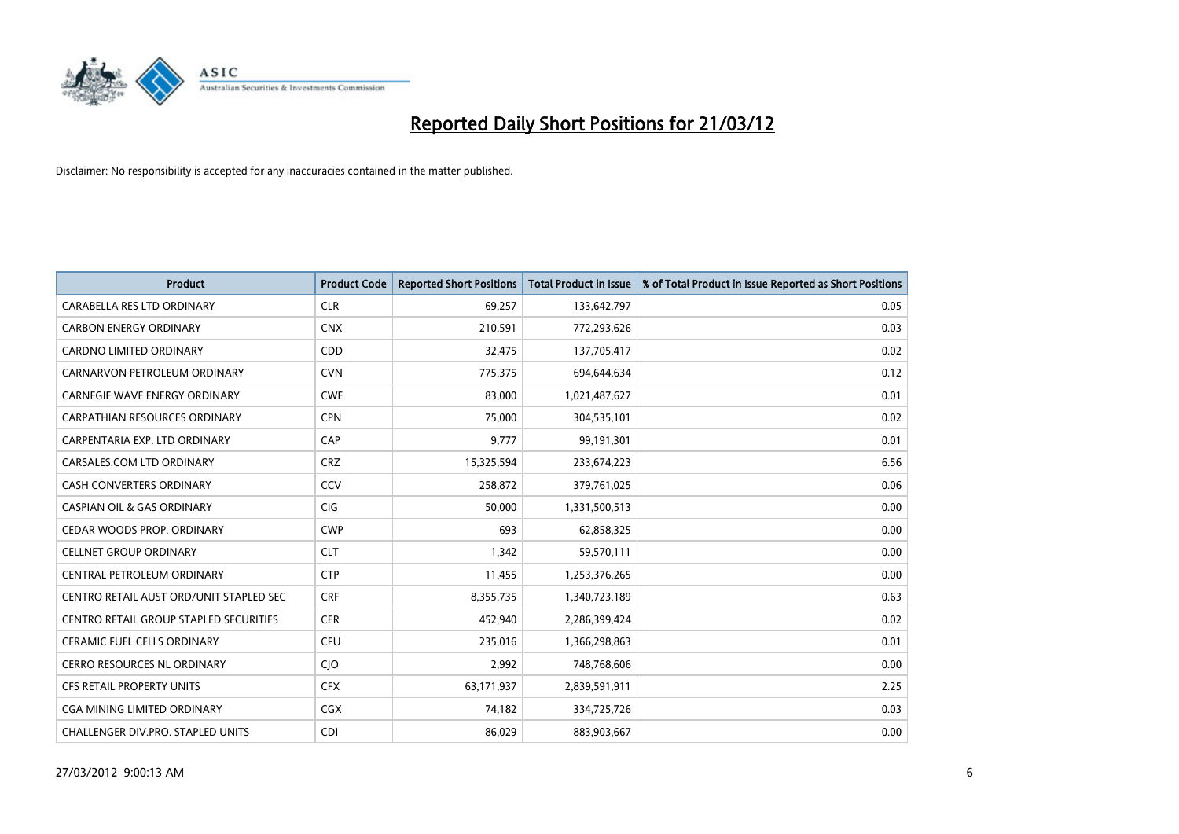

| <b>Product</b>                                | <b>Product Code</b> | <b>Reported Short Positions</b> | <b>Total Product in Issue</b> | % of Total Product in Issue Reported as Short Positions |
|-----------------------------------------------|---------------------|---------------------------------|-------------------------------|---------------------------------------------------------|
| <b>CARABELLA RES LTD ORDINARY</b>             | <b>CLR</b>          | 69,257                          | 133,642,797                   | 0.05                                                    |
| <b>CARBON ENERGY ORDINARY</b>                 | <b>CNX</b>          | 210,591                         | 772,293,626                   | 0.03                                                    |
| <b>CARDNO LIMITED ORDINARY</b>                | CDD                 | 32,475                          | 137,705,417                   | 0.02                                                    |
| CARNARVON PETROLEUM ORDINARY                  | <b>CVN</b>          | 775,375                         | 694,644,634                   | 0.12                                                    |
| <b>CARNEGIE WAVE ENERGY ORDINARY</b>          | <b>CWE</b>          | 83,000                          | 1,021,487,627                 | 0.01                                                    |
| <b>CARPATHIAN RESOURCES ORDINARY</b>          | <b>CPN</b>          | 75,000                          | 304,535,101                   | 0.02                                                    |
| CARPENTARIA EXP. LTD ORDINARY                 | CAP                 | 9,777                           | 99,191,301                    | 0.01                                                    |
| CARSALES.COM LTD ORDINARY                     | <b>CRZ</b>          | 15,325,594                      | 233,674,223                   | 6.56                                                    |
| <b>CASH CONVERTERS ORDINARY</b>               | CCV                 | 258,872                         | 379,761,025                   | 0.06                                                    |
| <b>CASPIAN OIL &amp; GAS ORDINARY</b>         | <b>CIG</b>          | 50,000                          | 1,331,500,513                 | 0.00                                                    |
| CEDAR WOODS PROP. ORDINARY                    | <b>CWP</b>          | 693                             | 62,858,325                    | 0.00                                                    |
| <b>CELLNET GROUP ORDINARY</b>                 | <b>CLT</b>          | 1,342                           | 59,570,111                    | 0.00                                                    |
| CENTRAL PETROLEUM ORDINARY                    | <b>CTP</b>          | 11,455                          | 1,253,376,265                 | 0.00                                                    |
| CENTRO RETAIL AUST ORD/UNIT STAPLED SEC       | <b>CRF</b>          | 8,355,735                       | 1,340,723,189                 | 0.63                                                    |
| <b>CENTRO RETAIL GROUP STAPLED SECURITIES</b> | <b>CER</b>          | 452,940                         | 2,286,399,424                 | 0.02                                                    |
| CERAMIC FUEL CELLS ORDINARY                   | <b>CFU</b>          | 235,016                         | 1,366,298,863                 | 0.01                                                    |
| CERRO RESOURCES NL ORDINARY                   | <b>CJO</b>          | 2,992                           | 748,768,606                   | 0.00                                                    |
| CFS RETAIL PROPERTY UNITS                     | <b>CFX</b>          | 63,171,937                      | 2,839,591,911                 | 2.25                                                    |
| CGA MINING LIMITED ORDINARY                   | CGX                 | 74,182                          | 334,725,726                   | 0.03                                                    |
| CHALLENGER DIV.PRO. STAPLED UNITS             | <b>CDI</b>          | 86,029                          | 883,903,667                   | 0.00                                                    |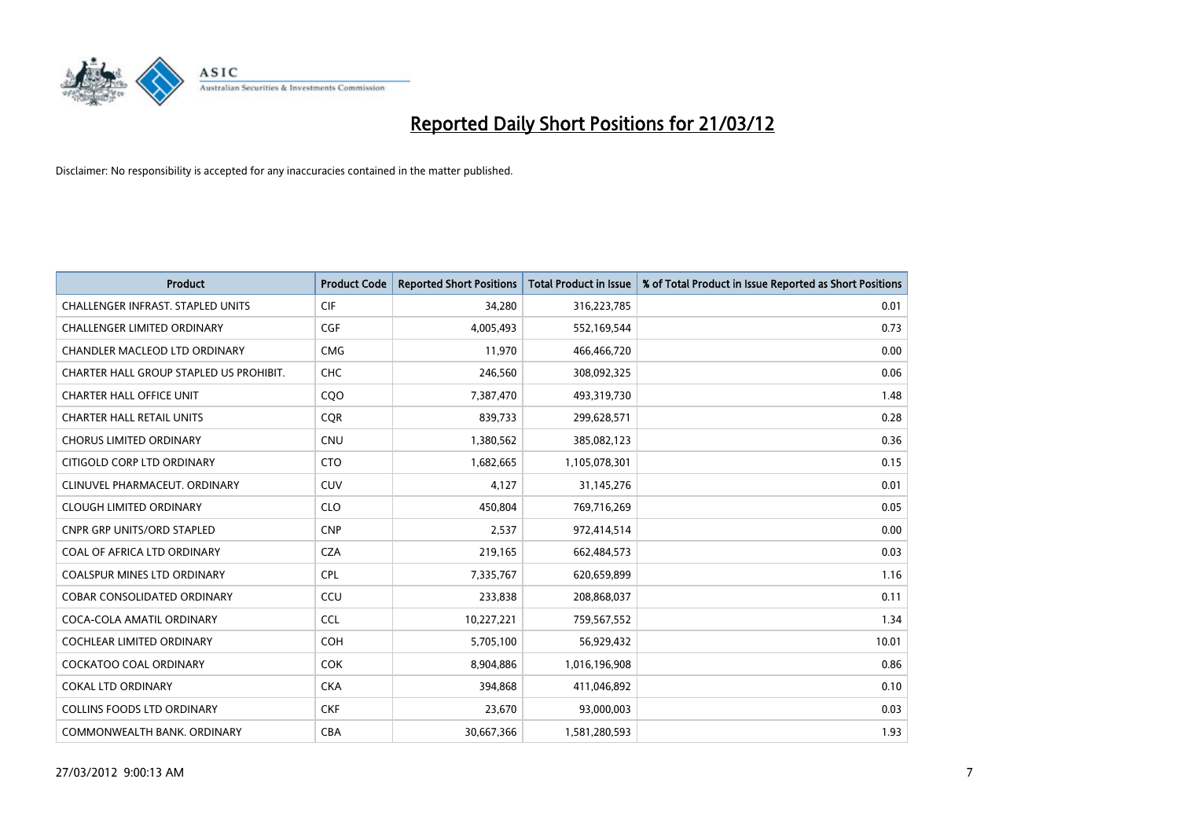

| <b>Product</b>                          | <b>Product Code</b> | <b>Reported Short Positions</b> | <b>Total Product in Issue</b> | % of Total Product in Issue Reported as Short Positions |
|-----------------------------------------|---------------------|---------------------------------|-------------------------------|---------------------------------------------------------|
| CHALLENGER INFRAST. STAPLED UNITS       | <b>CIF</b>          | 34,280                          | 316,223,785                   | 0.01                                                    |
| CHALLENGER LIMITED ORDINARY             | <b>CGF</b>          | 4,005,493                       | 552,169,544                   | 0.73                                                    |
| CHANDLER MACLEOD LTD ORDINARY           | <b>CMG</b>          | 11,970                          | 466,466,720                   | 0.00                                                    |
| CHARTER HALL GROUP STAPLED US PROHIBIT. | <b>CHC</b>          | 246,560                         | 308,092,325                   | 0.06                                                    |
| <b>CHARTER HALL OFFICE UNIT</b>         | COO                 | 7,387,470                       | 493,319,730                   | 1.48                                                    |
| <b>CHARTER HALL RETAIL UNITS</b>        | CQR                 | 839,733                         | 299,628,571                   | 0.28                                                    |
| <b>CHORUS LIMITED ORDINARY</b>          | <b>CNU</b>          | 1,380,562                       | 385,082,123                   | 0.36                                                    |
| CITIGOLD CORP LTD ORDINARY              | <b>CTO</b>          | 1,682,665                       | 1,105,078,301                 | 0.15                                                    |
| CLINUVEL PHARMACEUT, ORDINARY           | <b>CUV</b>          | 4,127                           | 31,145,276                    | 0.01                                                    |
| <b>CLOUGH LIMITED ORDINARY</b>          | <b>CLO</b>          | 450,804                         | 769,716,269                   | 0.05                                                    |
| CNPR GRP UNITS/ORD STAPLED              | <b>CNP</b>          | 2,537                           | 972,414,514                   | 0.00                                                    |
| COAL OF AFRICA LTD ORDINARY             | <b>CZA</b>          | 219,165                         | 662,484,573                   | 0.03                                                    |
| COALSPUR MINES LTD ORDINARY             | <b>CPL</b>          | 7,335,767                       | 620,659,899                   | 1.16                                                    |
| <b>COBAR CONSOLIDATED ORDINARY</b>      | CCU                 | 233,838                         | 208,868,037                   | 0.11                                                    |
| COCA-COLA AMATIL ORDINARY               | <b>CCL</b>          | 10,227,221                      | 759,567,552                   | 1.34                                                    |
| COCHLEAR LIMITED ORDINARY               | <b>COH</b>          | 5,705,100                       | 56,929,432                    | 10.01                                                   |
| COCKATOO COAL ORDINARY                  | <b>COK</b>          | 8,904,886                       | 1,016,196,908                 | 0.86                                                    |
| COKAL LTD ORDINARY                      | <b>CKA</b>          | 394,868                         | 411,046,892                   | 0.10                                                    |
| <b>COLLINS FOODS LTD ORDINARY</b>       | <b>CKF</b>          | 23,670                          | 93,000,003                    | 0.03                                                    |
| COMMONWEALTH BANK, ORDINARY             | <b>CBA</b>          | 30,667,366                      | 1,581,280,593                 | 1.93                                                    |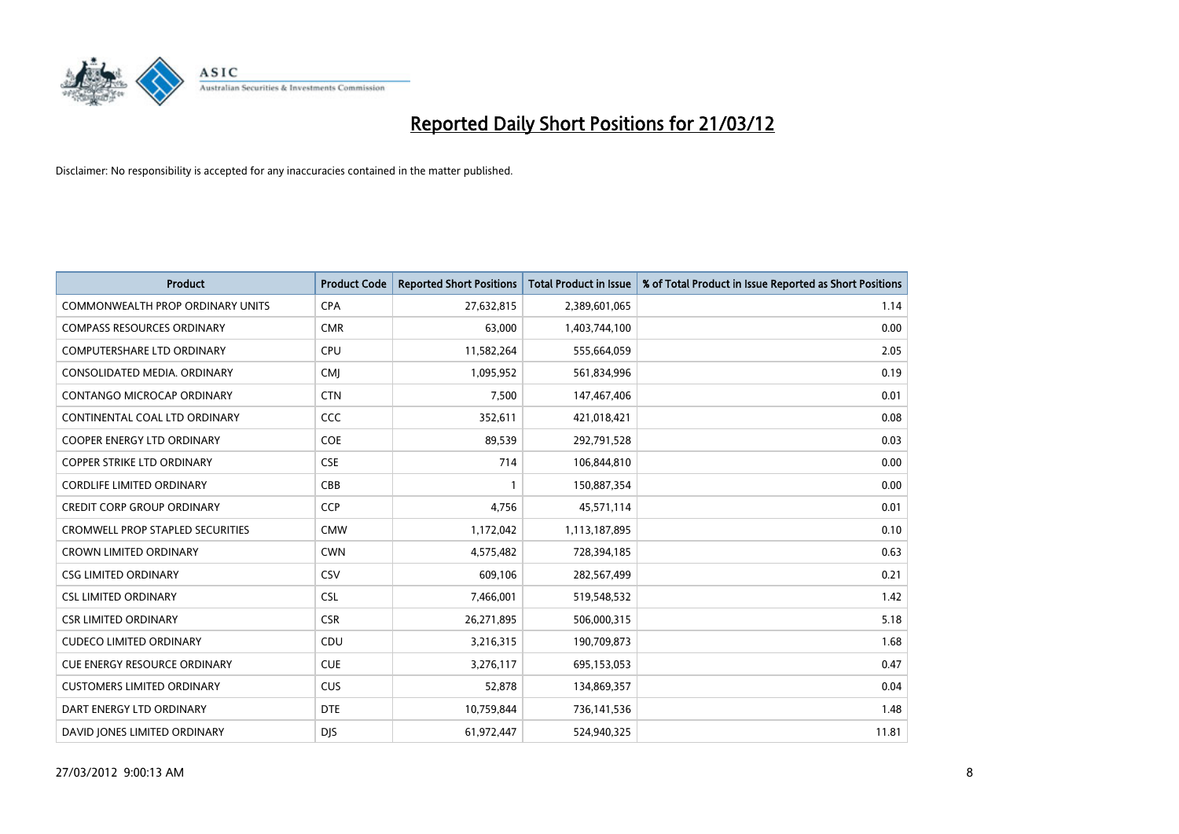

| Product                                 | <b>Product Code</b> | <b>Reported Short Positions</b> | <b>Total Product in Issue</b> | % of Total Product in Issue Reported as Short Positions |
|-----------------------------------------|---------------------|---------------------------------|-------------------------------|---------------------------------------------------------|
| <b>COMMONWEALTH PROP ORDINARY UNITS</b> | <b>CPA</b>          | 27,632,815                      | 2,389,601,065                 | 1.14                                                    |
| <b>COMPASS RESOURCES ORDINARY</b>       | <b>CMR</b>          | 63,000                          | 1,403,744,100                 | 0.00                                                    |
| <b>COMPUTERSHARE LTD ORDINARY</b>       | <b>CPU</b>          | 11,582,264                      | 555,664,059                   | 2.05                                                    |
| CONSOLIDATED MEDIA. ORDINARY            | <b>CMI</b>          | 1,095,952                       | 561,834,996                   | 0.19                                                    |
| CONTANGO MICROCAP ORDINARY              | <b>CTN</b>          | 7,500                           | 147,467,406                   | 0.01                                                    |
| CONTINENTAL COAL LTD ORDINARY           | CCC                 | 352,611                         | 421,018,421                   | 0.08                                                    |
| <b>COOPER ENERGY LTD ORDINARY</b>       | <b>COE</b>          | 89,539                          | 292,791,528                   | 0.03                                                    |
| <b>COPPER STRIKE LTD ORDINARY</b>       | <b>CSE</b>          | 714                             | 106,844,810                   | 0.00                                                    |
| <b>CORDLIFE LIMITED ORDINARY</b>        | CBB                 |                                 | 150,887,354                   | 0.00                                                    |
| <b>CREDIT CORP GROUP ORDINARY</b>       | CCP                 | 4,756                           | 45,571,114                    | 0.01                                                    |
| CROMWELL PROP STAPLED SECURITIES        | <b>CMW</b>          | 1,172,042                       | 1,113,187,895                 | 0.10                                                    |
| <b>CROWN LIMITED ORDINARY</b>           | <b>CWN</b>          | 4,575,482                       | 728,394,185                   | 0.63                                                    |
| <b>CSG LIMITED ORDINARY</b>             | CSV                 | 609,106                         | 282,567,499                   | 0.21                                                    |
| <b>CSL LIMITED ORDINARY</b>             | <b>CSL</b>          | 7,466,001                       | 519,548,532                   | 1.42                                                    |
| <b>CSR LIMITED ORDINARY</b>             | <b>CSR</b>          | 26,271,895                      | 506,000,315                   | 5.18                                                    |
| <b>CUDECO LIMITED ORDINARY</b>          | CDU                 | 3,216,315                       | 190,709,873                   | 1.68                                                    |
| <b>CUE ENERGY RESOURCE ORDINARY</b>     | <b>CUE</b>          | 3,276,117                       | 695,153,053                   | 0.47                                                    |
| <b>CUSTOMERS LIMITED ORDINARY</b>       | <b>CUS</b>          | 52,878                          | 134,869,357                   | 0.04                                                    |
| DART ENERGY LTD ORDINARY                | <b>DTE</b>          | 10,759,844                      | 736,141,536                   | 1.48                                                    |
| DAVID JONES LIMITED ORDINARY            | <b>DJS</b>          | 61,972,447                      | 524,940,325                   | 11.81                                                   |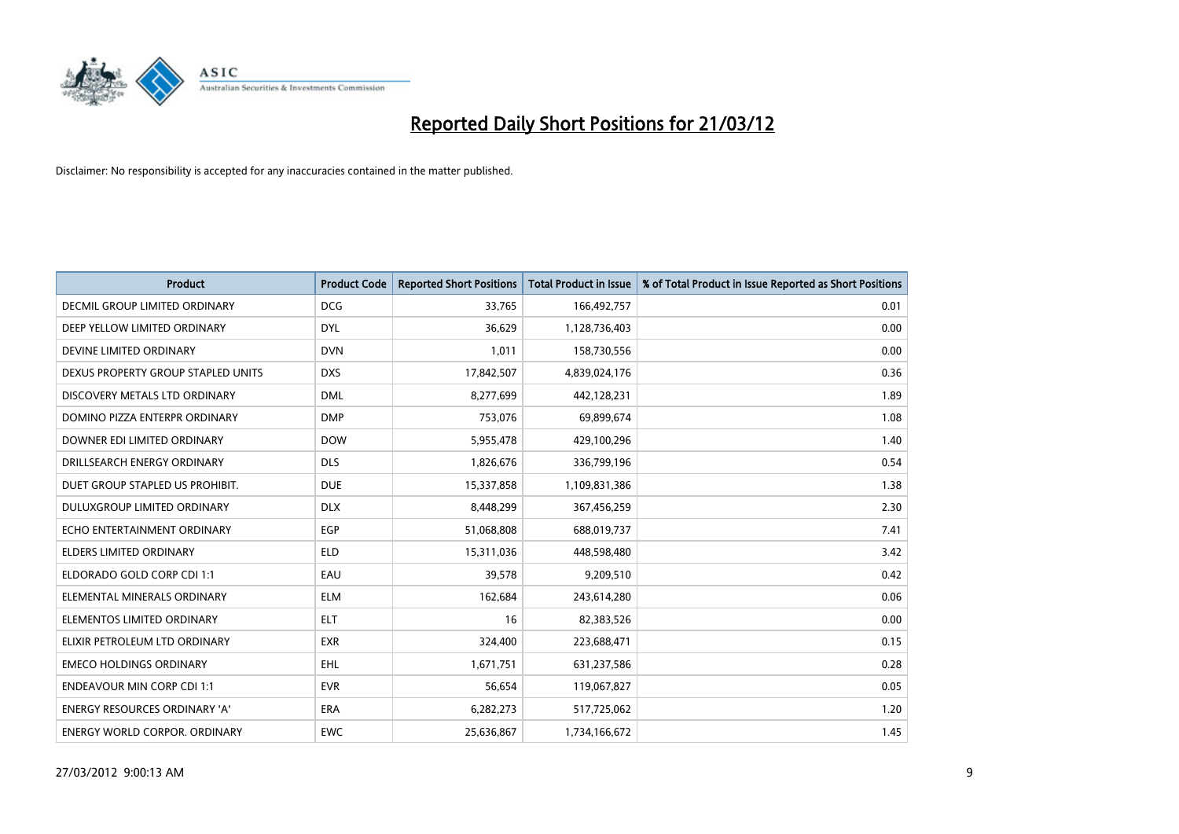

| <b>Product</b>                       | <b>Product Code</b> | <b>Reported Short Positions</b> | <b>Total Product in Issue</b> | % of Total Product in Issue Reported as Short Positions |
|--------------------------------------|---------------------|---------------------------------|-------------------------------|---------------------------------------------------------|
| DECMIL GROUP LIMITED ORDINARY        | <b>DCG</b>          | 33,765                          | 166,492,757                   | 0.01                                                    |
| DEEP YELLOW LIMITED ORDINARY         | <b>DYL</b>          | 36,629                          | 1,128,736,403                 | 0.00                                                    |
| DEVINE LIMITED ORDINARY              | <b>DVN</b>          | 1,011                           | 158,730,556                   | 0.00                                                    |
| DEXUS PROPERTY GROUP STAPLED UNITS   | <b>DXS</b>          | 17,842,507                      | 4,839,024,176                 | 0.36                                                    |
| DISCOVERY METALS LTD ORDINARY        | <b>DML</b>          | 8,277,699                       | 442,128,231                   | 1.89                                                    |
| DOMINO PIZZA ENTERPR ORDINARY        | <b>DMP</b>          | 753,076                         | 69,899,674                    | 1.08                                                    |
| DOWNER EDI LIMITED ORDINARY          | <b>DOW</b>          | 5,955,478                       | 429,100,296                   | 1.40                                                    |
| DRILLSEARCH ENERGY ORDINARY          | <b>DLS</b>          | 1,826,676                       | 336,799,196                   | 0.54                                                    |
| DUET GROUP STAPLED US PROHIBIT.      | <b>DUE</b>          | 15,337,858                      | 1,109,831,386                 | 1.38                                                    |
| DULUXGROUP LIMITED ORDINARY          | <b>DLX</b>          | 8,448,299                       | 367,456,259                   | 2.30                                                    |
| ECHO ENTERTAINMENT ORDINARY          | <b>EGP</b>          | 51,068,808                      | 688,019,737                   | 7.41                                                    |
| <b>ELDERS LIMITED ORDINARY</b>       | <b>ELD</b>          | 15,311,036                      | 448,598,480                   | 3.42                                                    |
| ELDORADO GOLD CORP CDI 1:1           | EAU                 | 39,578                          | 9,209,510                     | 0.42                                                    |
| ELEMENTAL MINERALS ORDINARY          | <b>ELM</b>          | 162,684                         | 243,614,280                   | 0.06                                                    |
| ELEMENTOS LIMITED ORDINARY           | <b>ELT</b>          | 16                              | 82,383,526                    | 0.00                                                    |
| ELIXIR PETROLEUM LTD ORDINARY        | <b>EXR</b>          | 324,400                         | 223,688,471                   | 0.15                                                    |
| <b>EMECO HOLDINGS ORDINARY</b>       | <b>EHL</b>          | 1,671,751                       | 631,237,586                   | 0.28                                                    |
| <b>ENDEAVOUR MIN CORP CDI 1:1</b>    | <b>EVR</b>          | 56,654                          | 119,067,827                   | 0.05                                                    |
| <b>ENERGY RESOURCES ORDINARY 'A'</b> | <b>ERA</b>          | 6,282,273                       | 517,725,062                   | 1.20                                                    |
| <b>ENERGY WORLD CORPOR. ORDINARY</b> | <b>EWC</b>          | 25,636,867                      | 1,734,166,672                 | 1.45                                                    |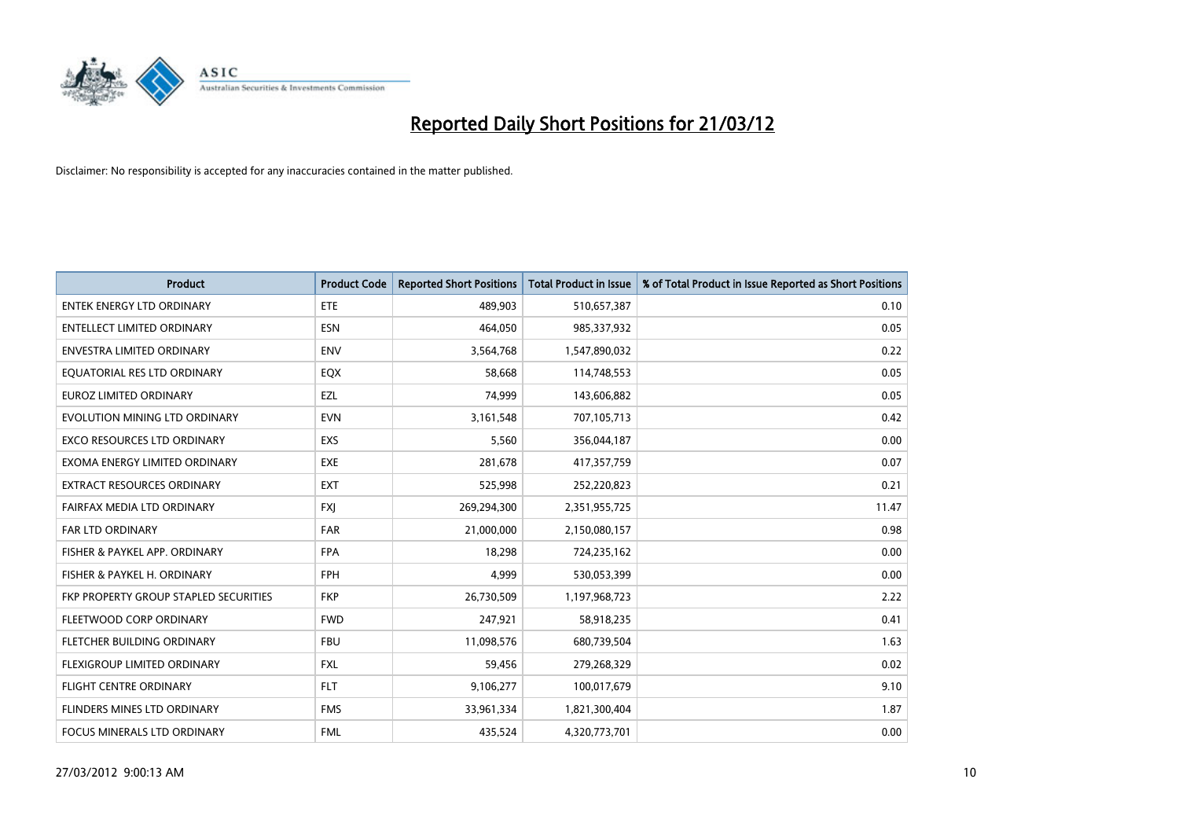

| <b>Product</b>                        | <b>Product Code</b> | <b>Reported Short Positions</b> | <b>Total Product in Issue</b> | % of Total Product in Issue Reported as Short Positions |
|---------------------------------------|---------------------|---------------------------------|-------------------------------|---------------------------------------------------------|
| <b>ENTEK ENERGY LTD ORDINARY</b>      | ETE                 | 489,903                         | 510,657,387                   | 0.10                                                    |
| <b>ENTELLECT LIMITED ORDINARY</b>     | <b>ESN</b>          | 464,050                         | 985,337,932                   | 0.05                                                    |
| <b>ENVESTRA LIMITED ORDINARY</b>      | <b>ENV</b>          | 3,564,768                       | 1,547,890,032                 | 0.22                                                    |
| EQUATORIAL RES LTD ORDINARY           | EQX                 | 58,668                          | 114,748,553                   | 0.05                                                    |
| <b>EUROZ LIMITED ORDINARY</b>         | EZL                 | 74,999                          | 143,606,882                   | 0.05                                                    |
| EVOLUTION MINING LTD ORDINARY         | <b>EVN</b>          | 3,161,548                       | 707,105,713                   | 0.42                                                    |
| EXCO RESOURCES LTD ORDINARY           | <b>EXS</b>          | 5,560                           | 356,044,187                   | 0.00                                                    |
| EXOMA ENERGY LIMITED ORDINARY         | <b>EXE</b>          | 281,678                         | 417,357,759                   | 0.07                                                    |
| <b>EXTRACT RESOURCES ORDINARY</b>     | <b>EXT</b>          | 525,998                         | 252,220,823                   | 0.21                                                    |
| FAIRFAX MEDIA LTD ORDINARY            | <b>FXI</b>          | 269,294,300                     | 2,351,955,725                 | 11.47                                                   |
| FAR LTD ORDINARY                      | FAR                 | 21,000,000                      | 2,150,080,157                 | 0.98                                                    |
| FISHER & PAYKEL APP. ORDINARY         | <b>FPA</b>          | 18,298                          | 724,235,162                   | 0.00                                                    |
| FISHER & PAYKEL H. ORDINARY           | <b>FPH</b>          | 4,999                           | 530,053,399                   | 0.00                                                    |
| FKP PROPERTY GROUP STAPLED SECURITIES | <b>FKP</b>          | 26,730,509                      | 1,197,968,723                 | 2.22                                                    |
| FLEETWOOD CORP ORDINARY               | <b>FWD</b>          | 247,921                         | 58,918,235                    | 0.41                                                    |
| FLETCHER BUILDING ORDINARY            | <b>FBU</b>          | 11,098,576                      | 680,739,504                   | 1.63                                                    |
| FLEXIGROUP LIMITED ORDINARY           | <b>FXL</b>          | 59,456                          | 279,268,329                   | 0.02                                                    |
| <b>FLIGHT CENTRE ORDINARY</b>         | <b>FLT</b>          | 9,106,277                       | 100,017,679                   | 9.10                                                    |
| FLINDERS MINES LTD ORDINARY           | <b>FMS</b>          | 33,961,334                      | 1,821,300,404                 | 1.87                                                    |
| FOCUS MINERALS LTD ORDINARY           | <b>FML</b>          | 435,524                         | 4,320,773,701                 | 0.00                                                    |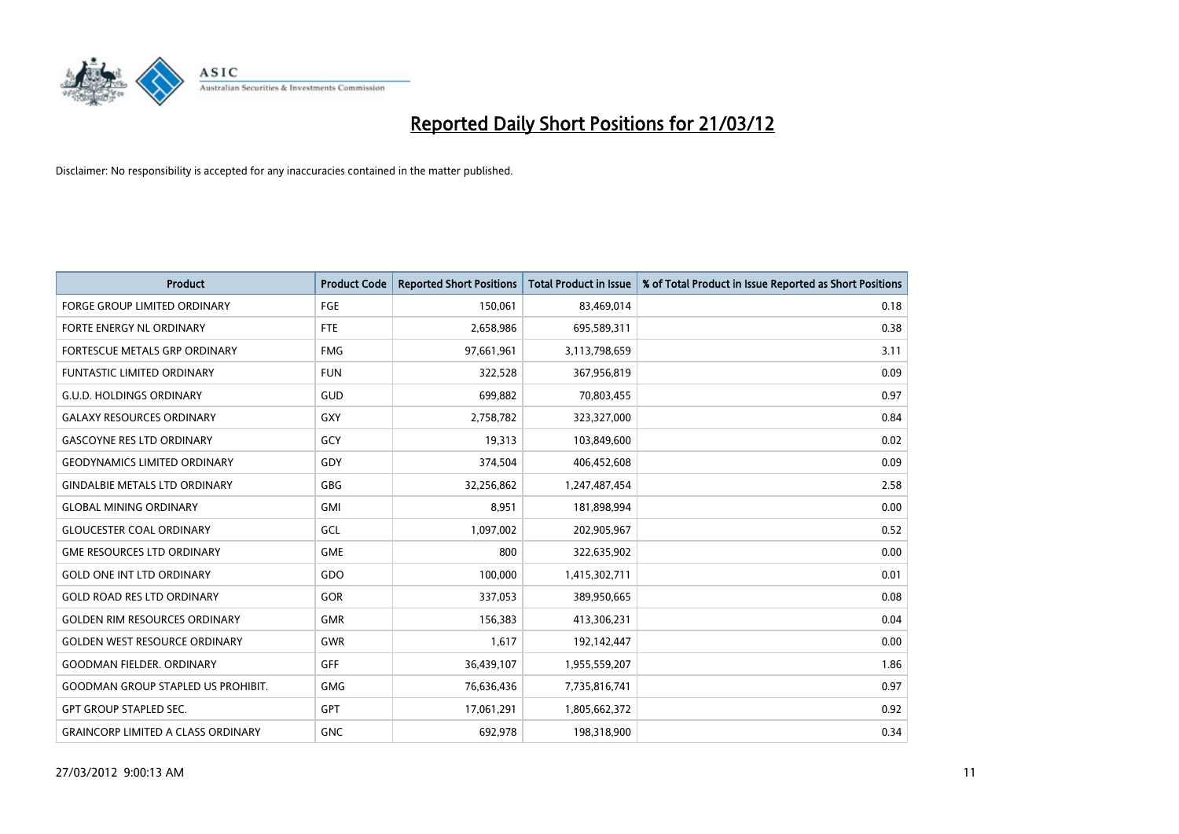

| <b>Product</b>                            | <b>Product Code</b> | <b>Reported Short Positions</b> | <b>Total Product in Issue</b> | % of Total Product in Issue Reported as Short Positions |
|-------------------------------------------|---------------------|---------------------------------|-------------------------------|---------------------------------------------------------|
| <b>FORGE GROUP LIMITED ORDINARY</b>       | FGE                 | 150,061                         | 83,469,014                    | 0.18                                                    |
| FORTE ENERGY NL ORDINARY                  | <b>FTE</b>          | 2,658,986                       | 695,589,311                   | 0.38                                                    |
| <b>FORTESCUE METALS GRP ORDINARY</b>      | <b>FMG</b>          | 97,661,961                      | 3,113,798,659                 | 3.11                                                    |
| <b>FUNTASTIC LIMITED ORDINARY</b>         | <b>FUN</b>          | 322,528                         | 367,956,819                   | 0.09                                                    |
| <b>G.U.D. HOLDINGS ORDINARY</b>           | GUD                 | 699,882                         | 70,803,455                    | 0.97                                                    |
| <b>GALAXY RESOURCES ORDINARY</b>          | <b>GXY</b>          | 2,758,782                       | 323,327,000                   | 0.84                                                    |
| <b>GASCOYNE RES LTD ORDINARY</b>          | GCY                 | 19,313                          | 103,849,600                   | 0.02                                                    |
| <b>GEODYNAMICS LIMITED ORDINARY</b>       | GDY                 | 374,504                         | 406,452,608                   | 0.09                                                    |
| <b>GINDALBIE METALS LTD ORDINARY</b>      | GBG                 | 32,256,862                      | 1,247,487,454                 | 2.58                                                    |
| <b>GLOBAL MINING ORDINARY</b>             | <b>GMI</b>          | 8,951                           | 181,898,994                   | 0.00                                                    |
| <b>GLOUCESTER COAL ORDINARY</b>           | GCL                 | 1,097,002                       | 202,905,967                   | 0.52                                                    |
| <b>GME RESOURCES LTD ORDINARY</b>         | <b>GME</b>          | 800                             | 322,635,902                   | 0.00                                                    |
| <b>GOLD ONE INT LTD ORDINARY</b>          | GDO                 | 100,000                         | 1,415,302,711                 | 0.01                                                    |
| <b>GOLD ROAD RES LTD ORDINARY</b>         | GOR                 | 337,053                         | 389,950,665                   | 0.08                                                    |
| <b>GOLDEN RIM RESOURCES ORDINARY</b>      | <b>GMR</b>          | 156,383                         | 413,306,231                   | 0.04                                                    |
| <b>GOLDEN WEST RESOURCE ORDINARY</b>      | GWR                 | 1,617                           | 192,142,447                   | 0.00                                                    |
| <b>GOODMAN FIELDER. ORDINARY</b>          | GFF                 | 36,439,107                      | 1,955,559,207                 | 1.86                                                    |
| <b>GOODMAN GROUP STAPLED US PROHIBIT.</b> | <b>GMG</b>          | 76,636,436                      | 7,735,816,741                 | 0.97                                                    |
| <b>GPT GROUP STAPLED SEC.</b>             | GPT                 | 17,061,291                      | 1,805,662,372                 | 0.92                                                    |
| <b>GRAINCORP LIMITED A CLASS ORDINARY</b> | <b>GNC</b>          | 692,978                         | 198,318,900                   | 0.34                                                    |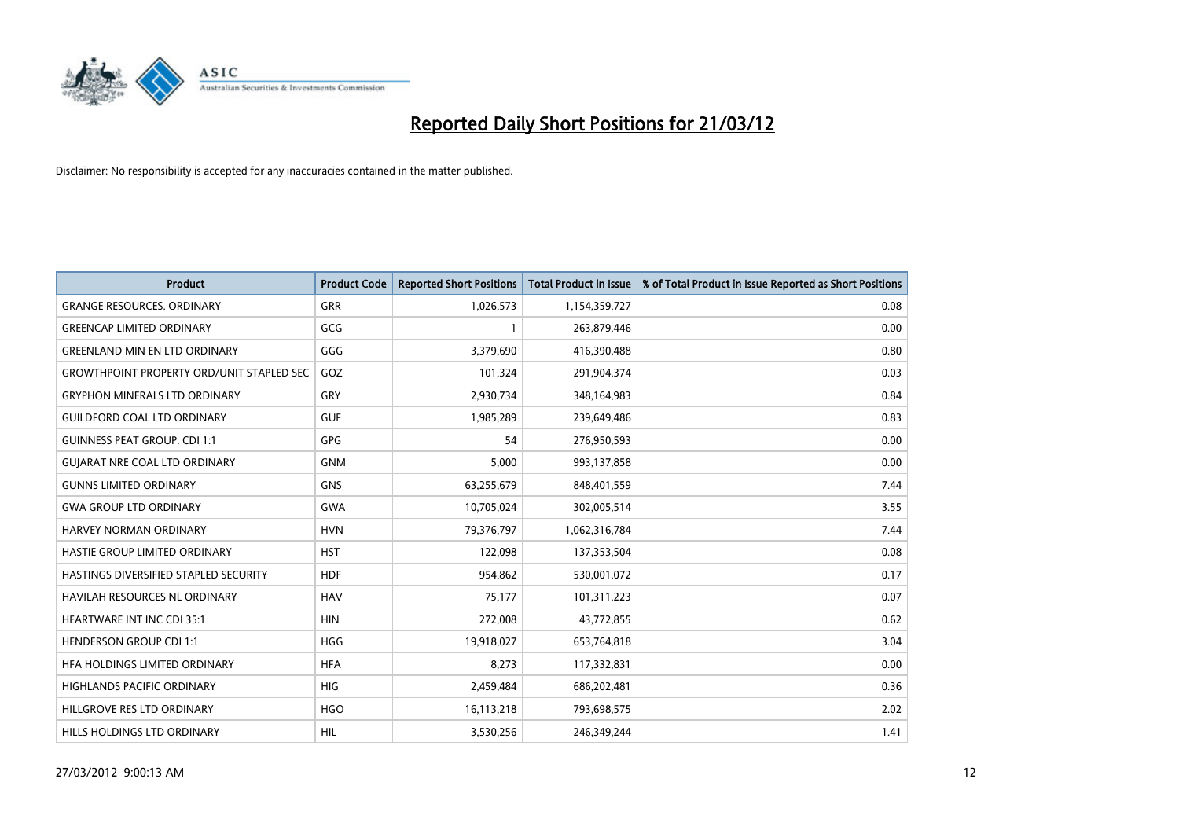

| <b>Product</b>                                   | <b>Product Code</b> | <b>Reported Short Positions</b> | <b>Total Product in Issue</b> | % of Total Product in Issue Reported as Short Positions |
|--------------------------------------------------|---------------------|---------------------------------|-------------------------------|---------------------------------------------------------|
| <b>GRANGE RESOURCES, ORDINARY</b>                | <b>GRR</b>          | 1,026,573                       | 1,154,359,727                 | 0.08                                                    |
| <b>GREENCAP LIMITED ORDINARY</b>                 | GCG                 | 1                               | 263,879,446                   | 0.00                                                    |
| <b>GREENLAND MIN EN LTD ORDINARY</b>             | GGG                 | 3,379,690                       | 416,390,488                   | 0.80                                                    |
| <b>GROWTHPOINT PROPERTY ORD/UNIT STAPLED SEC</b> | GOZ                 | 101,324                         | 291,904,374                   | 0.03                                                    |
| <b>GRYPHON MINERALS LTD ORDINARY</b>             | GRY                 | 2,930,734                       | 348,164,983                   | 0.84                                                    |
| <b>GUILDFORD COAL LTD ORDINARY</b>               | <b>GUF</b>          | 1,985,289                       | 239,649,486                   | 0.83                                                    |
| <b>GUINNESS PEAT GROUP. CDI 1:1</b>              | <b>GPG</b>          | 54                              | 276,950,593                   | 0.00                                                    |
| <b>GUJARAT NRE COAL LTD ORDINARY</b>             | <b>GNM</b>          | 5,000                           | 993,137,858                   | 0.00                                                    |
| <b>GUNNS LIMITED ORDINARY</b>                    | <b>GNS</b>          | 63,255,679                      | 848,401,559                   | 7.44                                                    |
| <b>GWA GROUP LTD ORDINARY</b>                    | <b>GWA</b>          | 10,705,024                      | 302,005,514                   | 3.55                                                    |
| HARVEY NORMAN ORDINARY                           | <b>HVN</b>          | 79,376,797                      | 1,062,316,784                 | 7.44                                                    |
| HASTIE GROUP LIMITED ORDINARY                    | <b>HST</b>          | 122,098                         | 137,353,504                   | 0.08                                                    |
| HASTINGS DIVERSIFIED STAPLED SECURITY            | <b>HDF</b>          | 954,862                         | 530,001,072                   | 0.17                                                    |
| <b>HAVILAH RESOURCES NL ORDINARY</b>             | <b>HAV</b>          | 75,177                          | 101,311,223                   | 0.07                                                    |
| <b>HEARTWARE INT INC CDI 35:1</b>                | <b>HIN</b>          | 272,008                         | 43,772,855                    | 0.62                                                    |
| <b>HENDERSON GROUP CDI 1:1</b>                   | <b>HGG</b>          | 19,918,027                      | 653,764,818                   | 3.04                                                    |
| HFA HOLDINGS LIMITED ORDINARY                    | <b>HFA</b>          | 8,273                           | 117,332,831                   | 0.00                                                    |
| <b>HIGHLANDS PACIFIC ORDINARY</b>                | <b>HIG</b>          | 2,459,484                       | 686,202,481                   | 0.36                                                    |
| HILLGROVE RES LTD ORDINARY                       | <b>HGO</b>          | 16,113,218                      | 793,698,575                   | 2.02                                                    |
| HILLS HOLDINGS LTD ORDINARY                      | HIL                 | 3,530,256                       | 246,349,244                   | 1.41                                                    |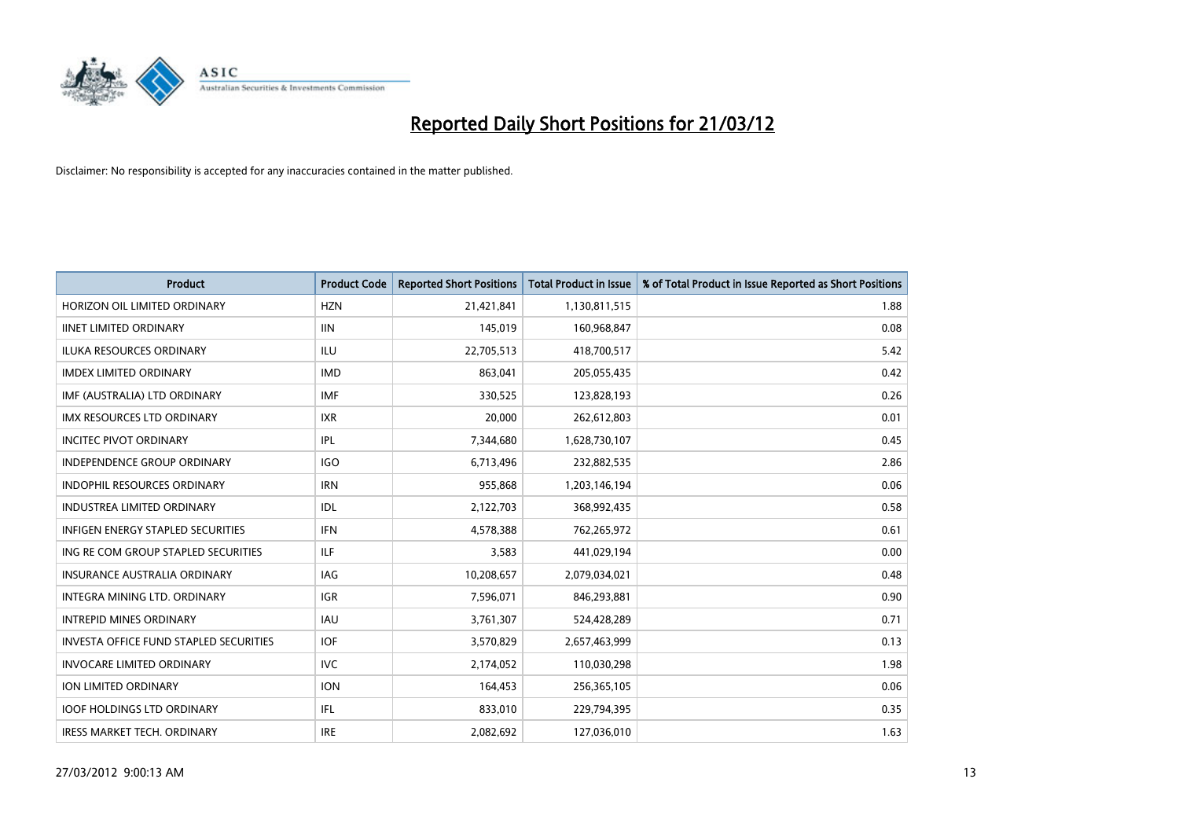

| <b>Product</b>                                | <b>Product Code</b> | <b>Reported Short Positions</b> | <b>Total Product in Issue</b> | % of Total Product in Issue Reported as Short Positions |
|-----------------------------------------------|---------------------|---------------------------------|-------------------------------|---------------------------------------------------------|
| HORIZON OIL LIMITED ORDINARY                  | <b>HZN</b>          | 21,421,841                      | 1,130,811,515                 | 1.88                                                    |
| <b>IINET LIMITED ORDINARY</b>                 | <b>IIN</b>          | 145,019                         | 160,968,847                   | 0.08                                                    |
| <b>ILUKA RESOURCES ORDINARY</b>               | ILU.                | 22,705,513                      | 418,700,517                   | 5.42                                                    |
| <b>IMDEX LIMITED ORDINARY</b>                 | <b>IMD</b>          | 863,041                         | 205,055,435                   | 0.42                                                    |
| IMF (AUSTRALIA) LTD ORDINARY                  | <b>IMF</b>          | 330,525                         | 123,828,193                   | 0.26                                                    |
| <b>IMX RESOURCES LTD ORDINARY</b>             | <b>IXR</b>          | 20,000                          | 262,612,803                   | 0.01                                                    |
| <b>INCITEC PIVOT ORDINARY</b>                 | IPL                 | 7,344,680                       | 1,628,730,107                 | 0.45                                                    |
| <b>INDEPENDENCE GROUP ORDINARY</b>            | <b>IGO</b>          | 6,713,496                       | 232,882,535                   | 2.86                                                    |
| <b>INDOPHIL RESOURCES ORDINARY</b>            | <b>IRN</b>          | 955,868                         | 1,203,146,194                 | 0.06                                                    |
| <b>INDUSTREA LIMITED ORDINARY</b>             | IDL                 | 2,122,703                       | 368,992,435                   | 0.58                                                    |
| <b>INFIGEN ENERGY STAPLED SECURITIES</b>      | <b>IFN</b>          | 4,578,388                       | 762,265,972                   | 0.61                                                    |
| ING RE COM GROUP STAPLED SECURITIES           | ILF.                | 3,583                           | 441,029,194                   | 0.00                                                    |
| <b>INSURANCE AUSTRALIA ORDINARY</b>           | IAG                 | 10,208,657                      | 2,079,034,021                 | 0.48                                                    |
| INTEGRA MINING LTD, ORDINARY                  | <b>IGR</b>          | 7,596,071                       | 846,293,881                   | 0.90                                                    |
| <b>INTREPID MINES ORDINARY</b>                | <b>IAU</b>          | 3,761,307                       | 524,428,289                   | 0.71                                                    |
| <b>INVESTA OFFICE FUND STAPLED SECURITIES</b> | <b>IOF</b>          | 3,570,829                       | 2,657,463,999                 | 0.13                                                    |
| <b>INVOCARE LIMITED ORDINARY</b>              | <b>IVC</b>          | 2,174,052                       | 110,030,298                   | 1.98                                                    |
| ION LIMITED ORDINARY                          | <b>ION</b>          | 164,453                         | 256,365,105                   | 0.06                                                    |
| <b>IOOF HOLDINGS LTD ORDINARY</b>             | IFL                 | 833,010                         | 229,794,395                   | 0.35                                                    |
| <b>IRESS MARKET TECH. ORDINARY</b>            | <b>IRE</b>          | 2,082,692                       | 127,036,010                   | 1.63                                                    |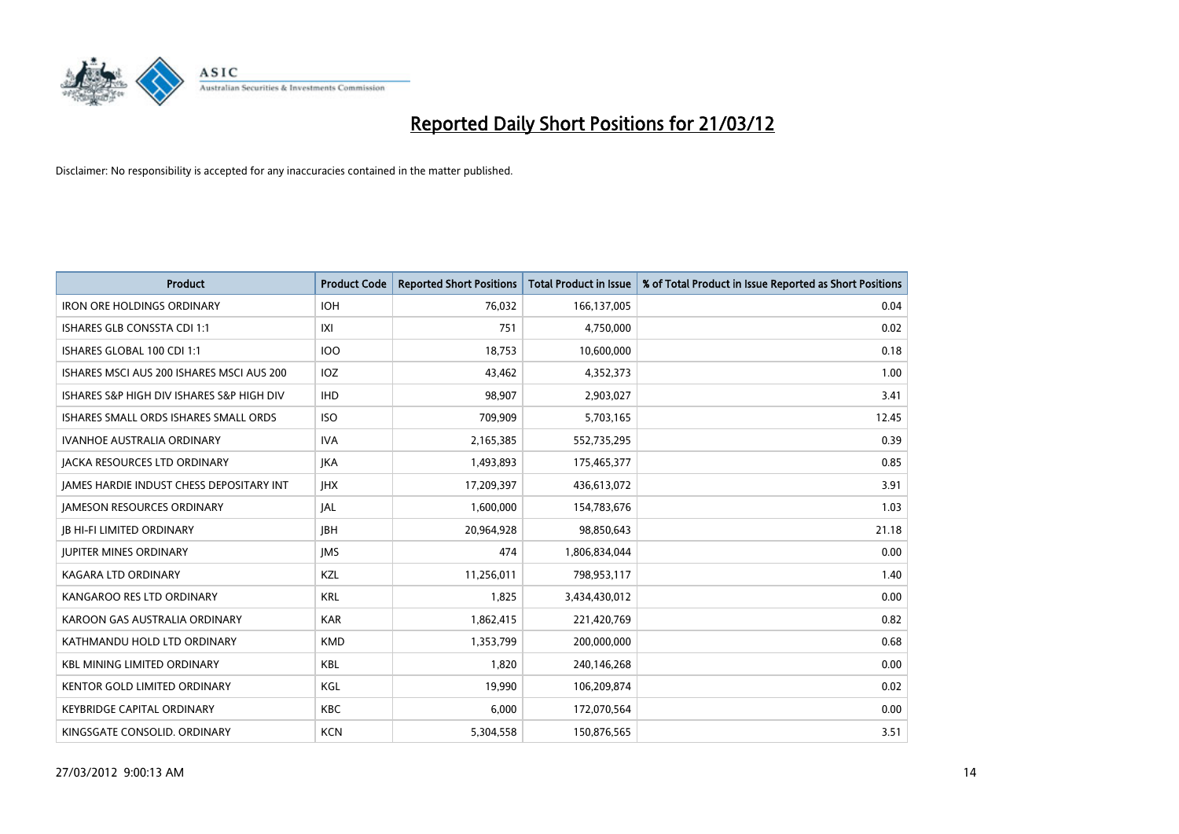

| <b>Product</b>                                  | <b>Product Code</b> | <b>Reported Short Positions</b> | <b>Total Product in Issue</b> | % of Total Product in Issue Reported as Short Positions |
|-------------------------------------------------|---------------------|---------------------------------|-------------------------------|---------------------------------------------------------|
| <b>IRON ORE HOLDINGS ORDINARY</b>               | <b>IOH</b>          | 76,032                          | 166,137,005                   | 0.04                                                    |
| ISHARES GLB CONSSTA CDI 1:1                     | IXI                 | 751                             | 4,750,000                     | 0.02                                                    |
| ISHARES GLOBAL 100 CDI 1:1                      | 100                 | 18,753                          | 10,600,000                    | 0.18                                                    |
| ISHARES MSCI AUS 200 ISHARES MSCI AUS 200       | <b>IOZ</b>          | 43,462                          | 4,352,373                     | 1.00                                                    |
| ISHARES S&P HIGH DIV ISHARES S&P HIGH DIV       | <b>IHD</b>          | 98,907                          | 2,903,027                     | 3.41                                                    |
| ISHARES SMALL ORDS ISHARES SMALL ORDS           | <b>ISO</b>          | 709,909                         | 5,703,165                     | 12.45                                                   |
| <b>IVANHOE AUSTRALIA ORDINARY</b>               | <b>IVA</b>          | 2,165,385                       | 552,735,295                   | 0.39                                                    |
| <b>JACKA RESOURCES LTD ORDINARY</b>             | <b>JKA</b>          | 1,493,893                       | 175,465,377                   | 0.85                                                    |
| <b>IAMES HARDIE INDUST CHESS DEPOSITARY INT</b> | <b>JHX</b>          | 17,209,397                      | 436,613,072                   | 3.91                                                    |
| <b>JAMESON RESOURCES ORDINARY</b>               | JAL                 | 1,600,000                       | 154,783,676                   | 1.03                                                    |
| <b>JB HI-FI LIMITED ORDINARY</b>                | <b>JBH</b>          | 20,964,928                      | 98,850,643                    | 21.18                                                   |
| <b>JUPITER MINES ORDINARY</b>                   | <b>IMS</b>          | 474                             | 1,806,834,044                 | 0.00                                                    |
| KAGARA LTD ORDINARY                             | KZL                 | 11,256,011                      | 798,953,117                   | 1.40                                                    |
| KANGAROO RES LTD ORDINARY                       | <b>KRL</b>          | 1,825                           | 3,434,430,012                 | 0.00                                                    |
| KAROON GAS AUSTRALIA ORDINARY                   | <b>KAR</b>          | 1,862,415                       | 221,420,769                   | 0.82                                                    |
| KATHMANDU HOLD LTD ORDINARY                     | <b>KMD</b>          | 1,353,799                       | 200,000,000                   | 0.68                                                    |
| <b>KBL MINING LIMITED ORDINARY</b>              | <b>KBL</b>          | 1,820                           | 240,146,268                   | 0.00                                                    |
| <b>KENTOR GOLD LIMITED ORDINARY</b>             | KGL                 | 19,990                          | 106,209,874                   | 0.02                                                    |
| <b>KEYBRIDGE CAPITAL ORDINARY</b>               | <b>KBC</b>          | 6,000                           | 172,070,564                   | 0.00                                                    |
| KINGSGATE CONSOLID. ORDINARY                    | <b>KCN</b>          | 5,304,558                       | 150,876,565                   | 3.51                                                    |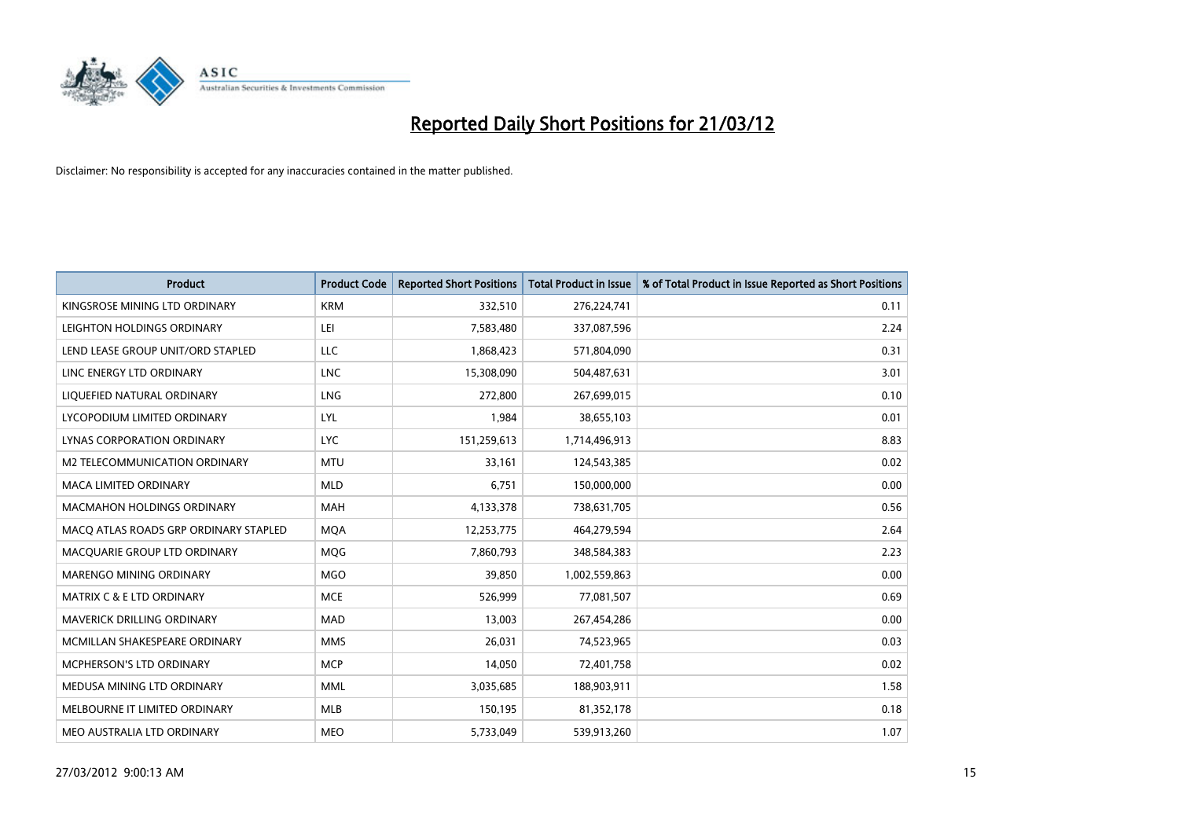

| <b>Product</b>                        | <b>Product Code</b> | <b>Reported Short Positions</b> | <b>Total Product in Issue</b> | % of Total Product in Issue Reported as Short Positions |
|---------------------------------------|---------------------|---------------------------------|-------------------------------|---------------------------------------------------------|
| KINGSROSE MINING LTD ORDINARY         | <b>KRM</b>          | 332,510                         | 276,224,741                   | 0.11                                                    |
| LEIGHTON HOLDINGS ORDINARY            | LEI                 | 7,583,480                       | 337,087,596                   | 2.24                                                    |
| LEND LEASE GROUP UNIT/ORD STAPLED     | <b>LLC</b>          | 1,868,423                       | 571,804,090                   | 0.31                                                    |
| LINC ENERGY LTD ORDINARY              | <b>LNC</b>          | 15,308,090                      | 504,487,631                   | 3.01                                                    |
| LIQUEFIED NATURAL ORDINARY            | LNG                 | 272,800                         | 267,699,015                   | 0.10                                                    |
| LYCOPODIUM LIMITED ORDINARY           | LYL                 | 1,984                           | 38,655,103                    | 0.01                                                    |
| LYNAS CORPORATION ORDINARY            | <b>LYC</b>          | 151,259,613                     | 1,714,496,913                 | 8.83                                                    |
| M2 TELECOMMUNICATION ORDINARY         | <b>MTU</b>          | 33,161                          | 124,543,385                   | 0.02                                                    |
| <b>MACA LIMITED ORDINARY</b>          | <b>MLD</b>          | 6,751                           | 150,000,000                   | 0.00                                                    |
| <b>MACMAHON HOLDINGS ORDINARY</b>     | <b>MAH</b>          | 4,133,378                       | 738,631,705                   | 0.56                                                    |
| MACO ATLAS ROADS GRP ORDINARY STAPLED | <b>MOA</b>          | 12,253,775                      | 464,279,594                   | 2.64                                                    |
| MACQUARIE GROUP LTD ORDINARY          | MQG                 | 7,860,793                       | 348,584,383                   | 2.23                                                    |
| MARENGO MINING ORDINARY               | <b>MGO</b>          | 39,850                          | 1,002,559,863                 | 0.00                                                    |
| <b>MATRIX C &amp; E LTD ORDINARY</b>  | <b>MCE</b>          | 526,999                         | 77,081,507                    | 0.69                                                    |
| MAVERICK DRILLING ORDINARY            | <b>MAD</b>          | 13,003                          | 267,454,286                   | 0.00                                                    |
| MCMILLAN SHAKESPEARE ORDINARY         | <b>MMS</b>          | 26,031                          | 74,523,965                    | 0.03                                                    |
| MCPHERSON'S LTD ORDINARY              | <b>MCP</b>          | 14,050                          | 72,401,758                    | 0.02                                                    |
| MEDUSA MINING LTD ORDINARY            | <b>MML</b>          | 3,035,685                       | 188,903,911                   | 1.58                                                    |
| MELBOURNE IT LIMITED ORDINARY         | <b>MLB</b>          | 150,195                         | 81,352,178                    | 0.18                                                    |
| MEO AUSTRALIA LTD ORDINARY            | <b>MEO</b>          | 5,733,049                       | 539,913,260                   | 1.07                                                    |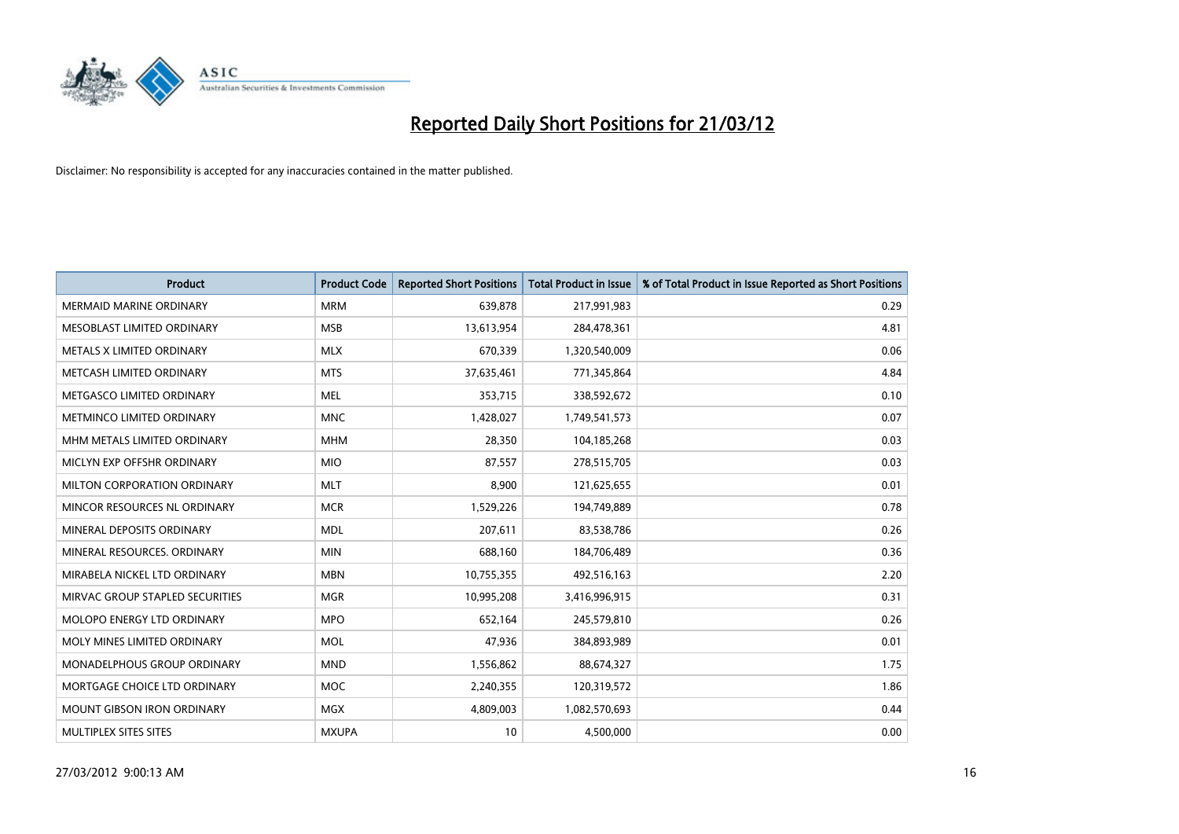

| <b>Product</b>                    | <b>Product Code</b> | <b>Reported Short Positions</b> | <b>Total Product in Issue</b> | % of Total Product in Issue Reported as Short Positions |
|-----------------------------------|---------------------|---------------------------------|-------------------------------|---------------------------------------------------------|
| <b>MERMAID MARINE ORDINARY</b>    | <b>MRM</b>          | 639,878                         | 217,991,983                   | 0.29                                                    |
| MESOBLAST LIMITED ORDINARY        | <b>MSB</b>          | 13,613,954                      | 284,478,361                   | 4.81                                                    |
| METALS X LIMITED ORDINARY         | <b>MLX</b>          | 670,339                         | 1,320,540,009                 | 0.06                                                    |
| METCASH LIMITED ORDINARY          | <b>MTS</b>          | 37,635,461                      | 771,345,864                   | 4.84                                                    |
| METGASCO LIMITED ORDINARY         | <b>MEL</b>          | 353,715                         | 338,592,672                   | 0.10                                                    |
| METMINCO LIMITED ORDINARY         | <b>MNC</b>          | 1,428,027                       | 1,749,541,573                 | 0.07                                                    |
| MHM METALS LIMITED ORDINARY       | <b>MHM</b>          | 28,350                          | 104,185,268                   | 0.03                                                    |
| MICLYN EXP OFFSHR ORDINARY        | <b>MIO</b>          | 87,557                          | 278,515,705                   | 0.03                                                    |
| MILTON CORPORATION ORDINARY       | <b>MLT</b>          | 8,900                           | 121,625,655                   | 0.01                                                    |
| MINCOR RESOURCES NL ORDINARY      | <b>MCR</b>          | 1,529,226                       | 194,749,889                   | 0.78                                                    |
| MINERAL DEPOSITS ORDINARY         | <b>MDL</b>          | 207,611                         | 83,538,786                    | 0.26                                                    |
| MINERAL RESOURCES, ORDINARY       | <b>MIN</b>          | 688,160                         | 184,706,489                   | 0.36                                                    |
| MIRABELA NICKEL LTD ORDINARY      | <b>MBN</b>          | 10,755,355                      | 492,516,163                   | 2.20                                                    |
| MIRVAC GROUP STAPLED SECURITIES   | <b>MGR</b>          | 10,995,208                      | 3,416,996,915                 | 0.31                                                    |
| MOLOPO ENERGY LTD ORDINARY        | <b>MPO</b>          | 652,164                         | 245,579,810                   | 0.26                                                    |
| MOLY MINES LIMITED ORDINARY       | MOL                 | 47,936                          | 384,893,989                   | 0.01                                                    |
| MONADELPHOUS GROUP ORDINARY       | <b>MND</b>          | 1,556,862                       | 88,674,327                    | 1.75                                                    |
| MORTGAGE CHOICE LTD ORDINARY      | <b>MOC</b>          | 2,240,355                       | 120,319,572                   | 1.86                                                    |
| <b>MOUNT GIBSON IRON ORDINARY</b> | <b>MGX</b>          | 4,809,003                       | 1,082,570,693                 | 0.44                                                    |
| MULTIPLEX SITES SITES             | <b>MXUPA</b>        | 10                              | 4,500,000                     | 0.00                                                    |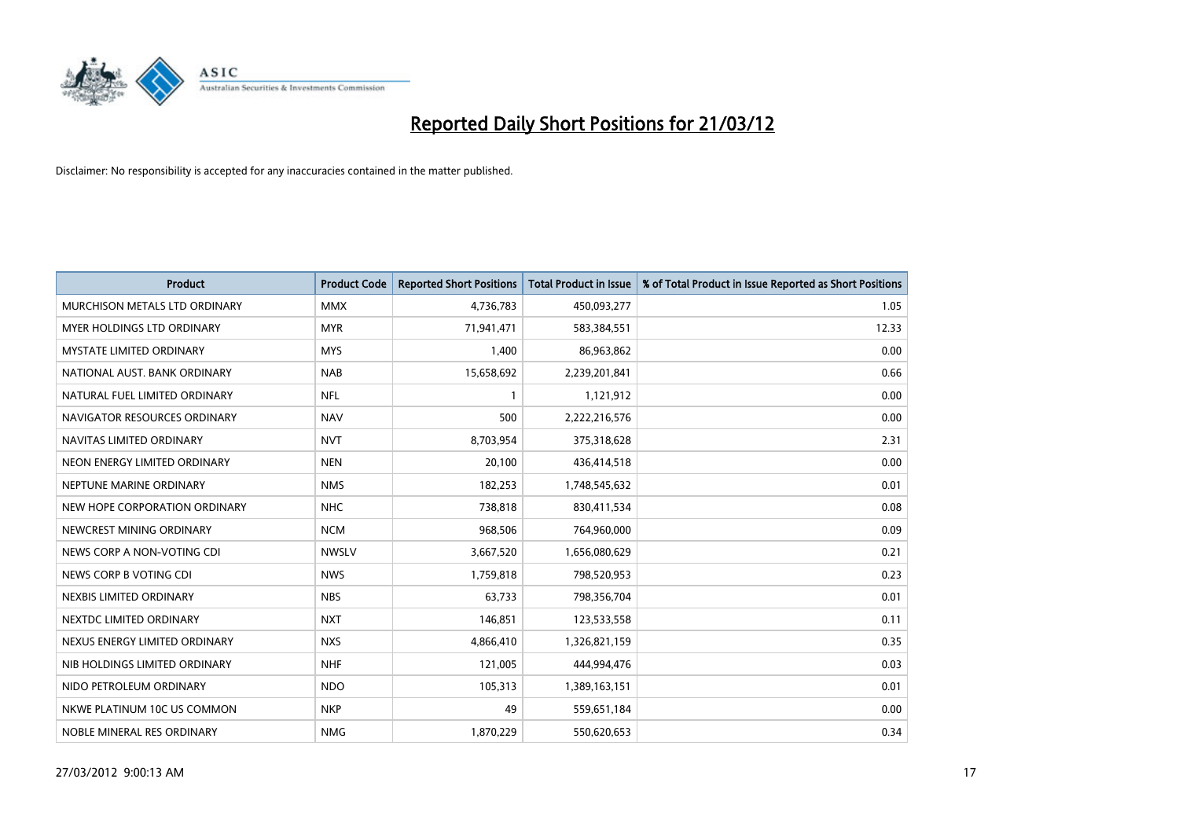

| <b>Product</b>                  | <b>Product Code</b> | <b>Reported Short Positions</b> | <b>Total Product in Issue</b> | % of Total Product in Issue Reported as Short Positions |
|---------------------------------|---------------------|---------------------------------|-------------------------------|---------------------------------------------------------|
| MURCHISON METALS LTD ORDINARY   | <b>MMX</b>          | 4,736,783                       | 450,093,277                   | 1.05                                                    |
| MYER HOLDINGS LTD ORDINARY      | <b>MYR</b>          | 71,941,471                      | 583,384,551                   | 12.33                                                   |
| <b>MYSTATE LIMITED ORDINARY</b> | <b>MYS</b>          | 1.400                           | 86,963,862                    | 0.00                                                    |
| NATIONAL AUST. BANK ORDINARY    | <b>NAB</b>          | 15,658,692                      | 2,239,201,841                 | 0.66                                                    |
| NATURAL FUEL LIMITED ORDINARY   | <b>NFL</b>          | $\mathbf{1}$                    | 1,121,912                     | 0.00                                                    |
| NAVIGATOR RESOURCES ORDINARY    | <b>NAV</b>          | 500                             | 2,222,216,576                 | 0.00                                                    |
| NAVITAS LIMITED ORDINARY        | <b>NVT</b>          | 8,703,954                       | 375,318,628                   | 2.31                                                    |
| NEON ENERGY LIMITED ORDINARY    | <b>NEN</b>          | 20,100                          | 436,414,518                   | 0.00                                                    |
| NEPTUNE MARINE ORDINARY         | <b>NMS</b>          | 182,253                         | 1,748,545,632                 | 0.01                                                    |
| NEW HOPE CORPORATION ORDINARY   | <b>NHC</b>          | 738,818                         | 830,411,534                   | 0.08                                                    |
| NEWCREST MINING ORDINARY        | <b>NCM</b>          | 968,506                         | 764,960,000                   | 0.09                                                    |
| NEWS CORP A NON-VOTING CDI      | <b>NWSLV</b>        | 3,667,520                       | 1,656,080,629                 | 0.21                                                    |
| NEWS CORP B VOTING CDI          | <b>NWS</b>          | 1,759,818                       | 798,520,953                   | 0.23                                                    |
| NEXBIS LIMITED ORDINARY         | <b>NBS</b>          | 63,733                          | 798,356,704                   | 0.01                                                    |
| NEXTDC LIMITED ORDINARY         | <b>NXT</b>          | 146,851                         | 123,533,558                   | 0.11                                                    |
| NEXUS ENERGY LIMITED ORDINARY   | <b>NXS</b>          | 4,866,410                       | 1,326,821,159                 | 0.35                                                    |
| NIB HOLDINGS LIMITED ORDINARY   | <b>NHF</b>          | 121,005                         | 444,994,476                   | 0.03                                                    |
| NIDO PETROLEUM ORDINARY         | <b>NDO</b>          | 105,313                         | 1,389,163,151                 | 0.01                                                    |
| NKWE PLATINUM 10C US COMMON     | <b>NKP</b>          | 49                              | 559,651,184                   | 0.00                                                    |
| NOBLE MINERAL RES ORDINARY      | <b>NMG</b>          | 1,870,229                       | 550,620,653                   | 0.34                                                    |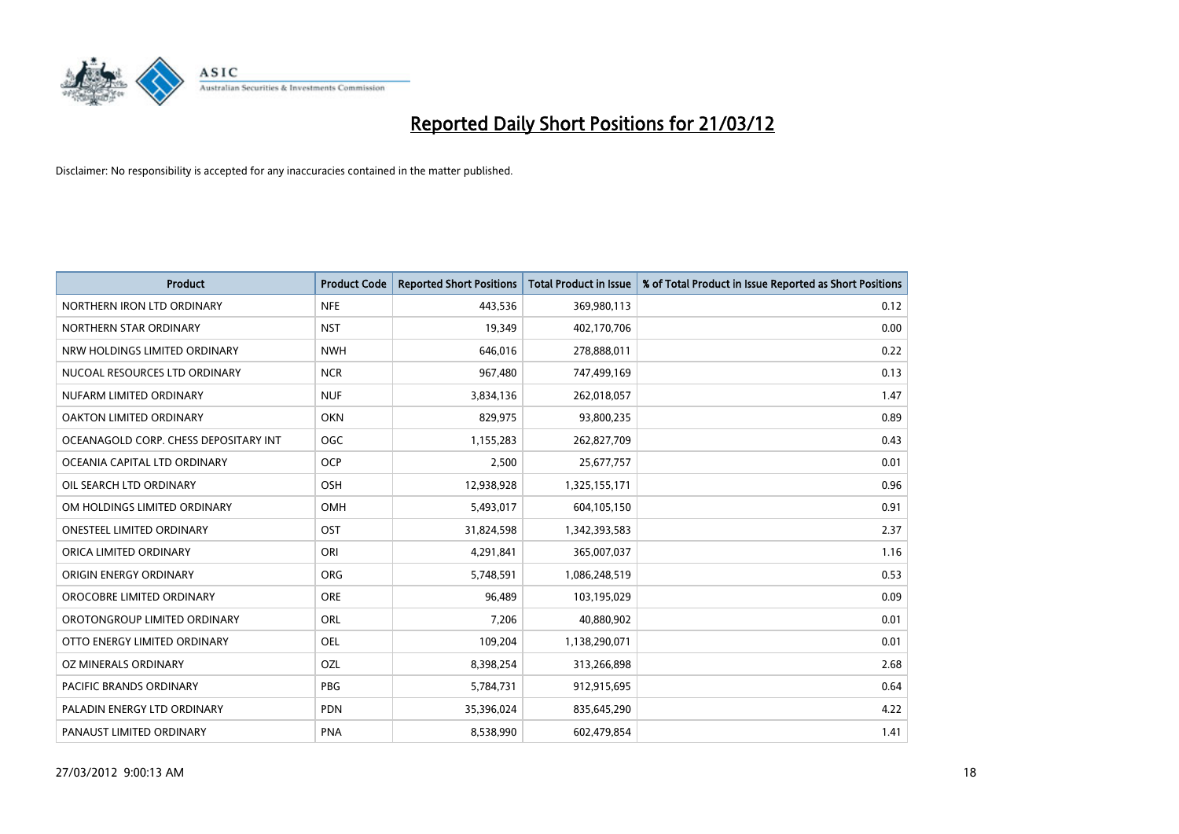

| <b>Product</b>                        | <b>Product Code</b> | <b>Reported Short Positions</b> | <b>Total Product in Issue</b> | % of Total Product in Issue Reported as Short Positions |
|---------------------------------------|---------------------|---------------------------------|-------------------------------|---------------------------------------------------------|
| NORTHERN IRON LTD ORDINARY            | <b>NFE</b>          | 443,536                         | 369,980,113                   | 0.12                                                    |
| NORTHERN STAR ORDINARY                | <b>NST</b>          | 19,349                          | 402,170,706                   | 0.00                                                    |
| NRW HOLDINGS LIMITED ORDINARY         | <b>NWH</b>          | 646,016                         | 278,888,011                   | 0.22                                                    |
| NUCOAL RESOURCES LTD ORDINARY         | <b>NCR</b>          | 967,480                         | 747,499,169                   | 0.13                                                    |
| NUFARM LIMITED ORDINARY               | <b>NUF</b>          | 3,834,136                       | 262,018,057                   | 1.47                                                    |
| <b>OAKTON LIMITED ORDINARY</b>        | <b>OKN</b>          | 829,975                         | 93,800,235                    | 0.89                                                    |
| OCEANAGOLD CORP. CHESS DEPOSITARY INT | <b>OGC</b>          | 1,155,283                       | 262,827,709                   | 0.43                                                    |
| OCEANIA CAPITAL LTD ORDINARY          | <b>OCP</b>          | 2,500                           | 25,677,757                    | 0.01                                                    |
| OIL SEARCH LTD ORDINARY               | OSH                 | 12,938,928                      | 1,325,155,171                 | 0.96                                                    |
| OM HOLDINGS LIMITED ORDINARY          | OMH                 | 5,493,017                       | 604,105,150                   | 0.91                                                    |
| ONESTEEL LIMITED ORDINARY             | OST                 | 31,824,598                      | 1,342,393,583                 | 2.37                                                    |
| ORICA LIMITED ORDINARY                | ORI                 | 4,291,841                       | 365,007,037                   | 1.16                                                    |
| ORIGIN ENERGY ORDINARY                | <b>ORG</b>          | 5,748,591                       | 1,086,248,519                 | 0.53                                                    |
| OROCOBRE LIMITED ORDINARY             | <b>ORE</b>          | 96,489                          | 103,195,029                   | 0.09                                                    |
| OROTONGROUP LIMITED ORDINARY          | ORL                 | 7,206                           | 40,880,902                    | 0.01                                                    |
| OTTO ENERGY LIMITED ORDINARY          | OEL                 | 109,204                         | 1,138,290,071                 | 0.01                                                    |
| OZ MINERALS ORDINARY                  | OZL                 | 8,398,254                       | 313,266,898                   | 2.68                                                    |
| <b>PACIFIC BRANDS ORDINARY</b>        | <b>PBG</b>          | 5,784,731                       | 912,915,695                   | 0.64                                                    |
| PALADIN ENERGY LTD ORDINARY           | <b>PDN</b>          | 35,396,024                      | 835,645,290                   | 4.22                                                    |
| PANAUST LIMITED ORDINARY              | <b>PNA</b>          | 8,538,990                       | 602,479,854                   | 1.41                                                    |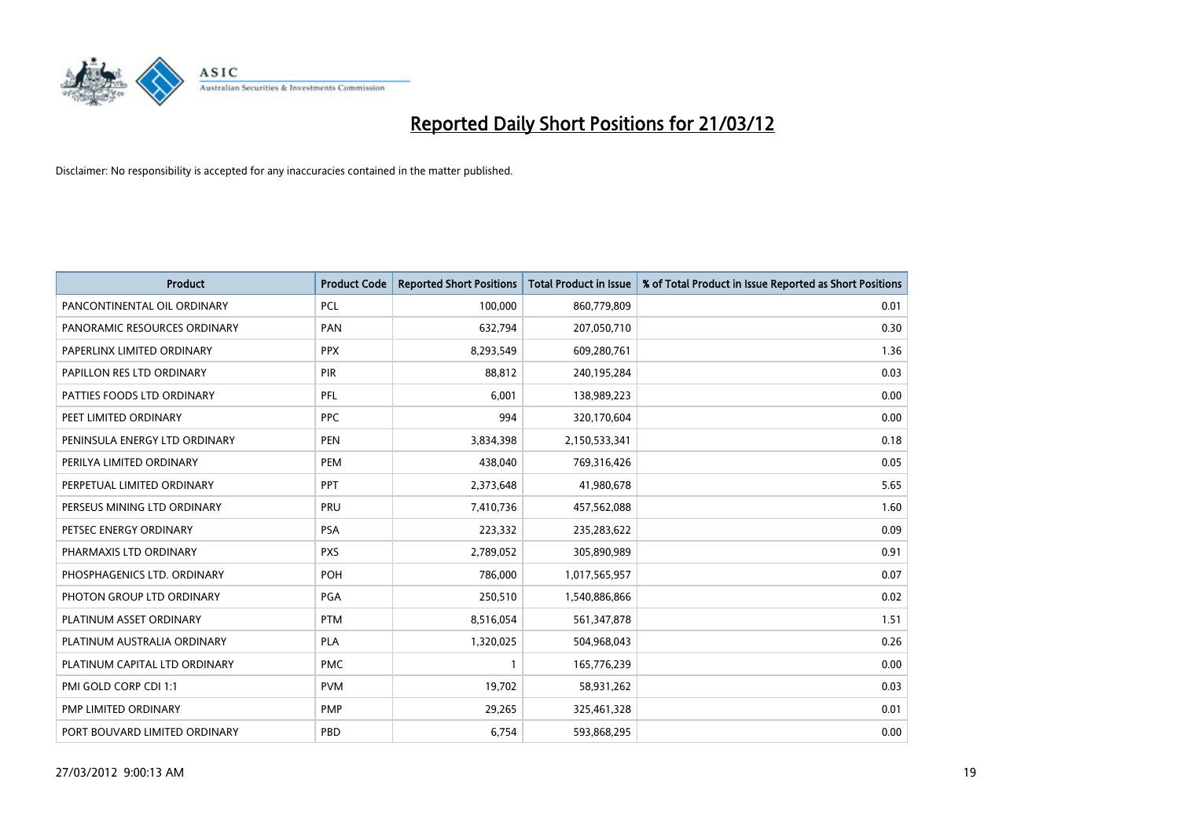

| <b>Product</b>                | <b>Product Code</b> | <b>Reported Short Positions</b> | <b>Total Product in Issue</b> | % of Total Product in Issue Reported as Short Positions |
|-------------------------------|---------------------|---------------------------------|-------------------------------|---------------------------------------------------------|
| PANCONTINENTAL OIL ORDINARY   | <b>PCL</b>          | 100,000                         | 860,779,809                   | 0.01                                                    |
| PANORAMIC RESOURCES ORDINARY  | PAN                 | 632,794                         | 207,050,710                   | 0.30                                                    |
| PAPERLINX LIMITED ORDINARY    | <b>PPX</b>          | 8,293,549                       | 609,280,761                   | 1.36                                                    |
| PAPILLON RES LTD ORDINARY     | <b>PIR</b>          | 88,812                          | 240,195,284                   | 0.03                                                    |
| PATTIES FOODS LTD ORDINARY    | PFL                 | 6,001                           | 138,989,223                   | 0.00                                                    |
| PEET LIMITED ORDINARY         | <b>PPC</b>          | 994                             | 320,170,604                   | 0.00                                                    |
| PENINSULA ENERGY LTD ORDINARY | <b>PEN</b>          | 3,834,398                       | 2,150,533,341                 | 0.18                                                    |
| PERILYA LIMITED ORDINARY      | PEM                 | 438,040                         | 769,316,426                   | 0.05                                                    |
| PERPETUAL LIMITED ORDINARY    | PPT                 | 2,373,648                       | 41,980,678                    | 5.65                                                    |
| PERSEUS MINING LTD ORDINARY   | <b>PRU</b>          | 7,410,736                       | 457,562,088                   | 1.60                                                    |
| PETSEC ENERGY ORDINARY        | <b>PSA</b>          | 223,332                         | 235,283,622                   | 0.09                                                    |
| PHARMAXIS LTD ORDINARY        | <b>PXS</b>          | 2,789,052                       | 305,890,989                   | 0.91                                                    |
| PHOSPHAGENICS LTD. ORDINARY   | POH                 | 786,000                         | 1,017,565,957                 | 0.07                                                    |
| PHOTON GROUP LTD ORDINARY     | PGA                 | 250,510                         | 1,540,886,866                 | 0.02                                                    |
| PLATINUM ASSET ORDINARY       | <b>PTM</b>          | 8,516,054                       | 561,347,878                   | 1.51                                                    |
| PLATINUM AUSTRALIA ORDINARY   | <b>PLA</b>          | 1,320,025                       | 504,968,043                   | 0.26                                                    |
| PLATINUM CAPITAL LTD ORDINARY | <b>PMC</b>          | $\mathbf{1}$                    | 165,776,239                   | 0.00                                                    |
| PMI GOLD CORP CDI 1:1         | <b>PVM</b>          | 19,702                          | 58,931,262                    | 0.03                                                    |
| PMP LIMITED ORDINARY          | <b>PMP</b>          | 29,265                          | 325,461,328                   | 0.01                                                    |
| PORT BOUVARD LIMITED ORDINARY | PBD                 | 6,754                           | 593,868,295                   | 0.00                                                    |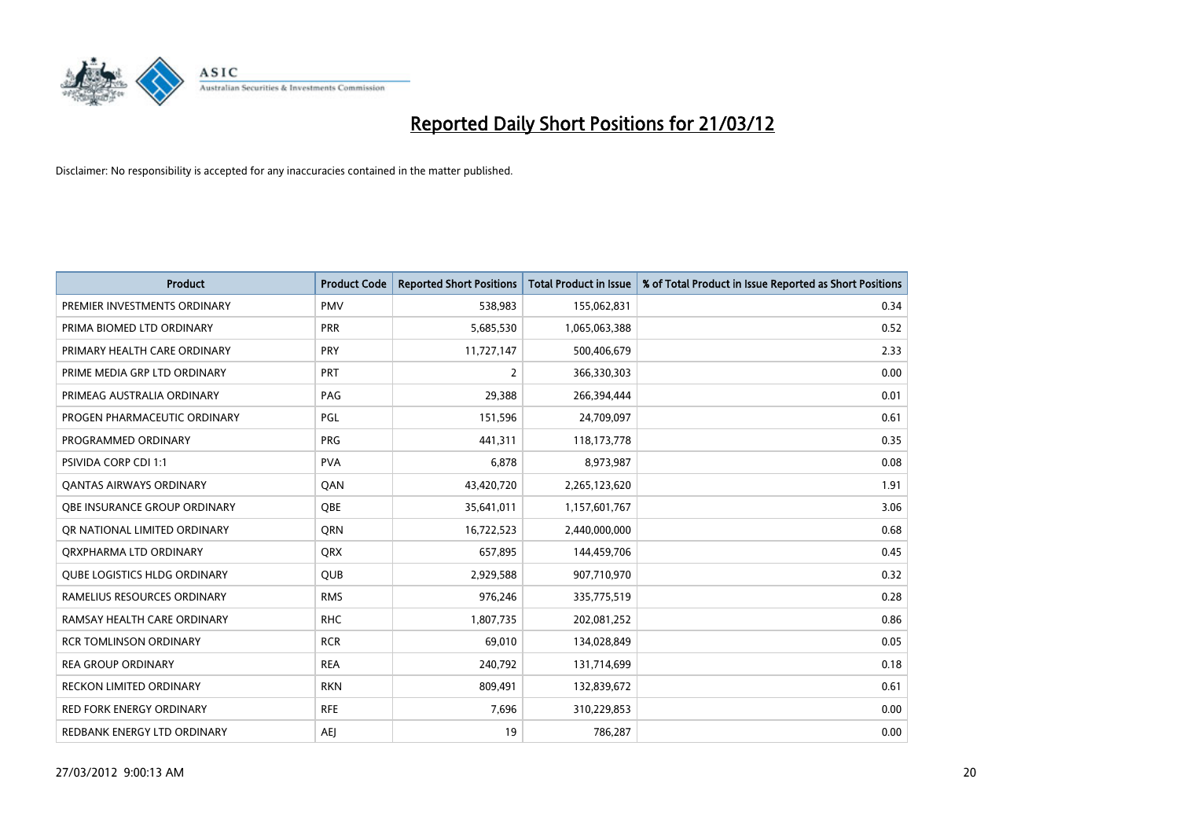

| <b>Product</b>                      | <b>Product Code</b> | <b>Reported Short Positions</b> | <b>Total Product in Issue</b> | % of Total Product in Issue Reported as Short Positions |
|-------------------------------------|---------------------|---------------------------------|-------------------------------|---------------------------------------------------------|
| PREMIER INVESTMENTS ORDINARY        | <b>PMV</b>          | 538,983                         | 155,062,831                   | 0.34                                                    |
| PRIMA BIOMED LTD ORDINARY           | <b>PRR</b>          | 5,685,530                       | 1,065,063,388                 | 0.52                                                    |
| PRIMARY HEALTH CARE ORDINARY        | <b>PRY</b>          | 11,727,147                      | 500,406,679                   | 2.33                                                    |
| PRIME MEDIA GRP LTD ORDINARY        | <b>PRT</b>          | 2                               | 366,330,303                   | 0.00                                                    |
| PRIMEAG AUSTRALIA ORDINARY          | PAG                 | 29,388                          | 266,394,444                   | 0.01                                                    |
| PROGEN PHARMACEUTIC ORDINARY        | PGL                 | 151,596                         | 24,709,097                    | 0.61                                                    |
| PROGRAMMED ORDINARY                 | <b>PRG</b>          | 441,311                         | 118, 173, 778                 | 0.35                                                    |
| PSIVIDA CORP CDI 1:1                | <b>PVA</b>          | 6,878                           | 8,973,987                     | 0.08                                                    |
| <b>QANTAS AIRWAYS ORDINARY</b>      | QAN                 | 43,420,720                      | 2,265,123,620                 | 1.91                                                    |
| OBE INSURANCE GROUP ORDINARY        | <b>OBE</b>          | 35,641,011                      | 1,157,601,767                 | 3.06                                                    |
| OR NATIONAL LIMITED ORDINARY        | <b>ORN</b>          | 16,722,523                      | 2,440,000,000                 | 0.68                                                    |
| ORXPHARMA LTD ORDINARY              | QRX                 | 657,895                         | 144,459,706                   | 0.45                                                    |
| <b>QUBE LOGISTICS HLDG ORDINARY</b> | <b>QUB</b>          | 2,929,588                       | 907,710,970                   | 0.32                                                    |
| RAMELIUS RESOURCES ORDINARY         | <b>RMS</b>          | 976,246                         | 335,775,519                   | 0.28                                                    |
| RAMSAY HEALTH CARE ORDINARY         | <b>RHC</b>          | 1,807,735                       | 202,081,252                   | 0.86                                                    |
| <b>RCR TOMLINSON ORDINARY</b>       | <b>RCR</b>          | 69,010                          | 134,028,849                   | 0.05                                                    |
| <b>REA GROUP ORDINARY</b>           | <b>REA</b>          | 240,792                         | 131,714,699                   | 0.18                                                    |
| RECKON LIMITED ORDINARY             | <b>RKN</b>          | 809,491                         | 132,839,672                   | 0.61                                                    |
| <b>RED FORK ENERGY ORDINARY</b>     | <b>RFE</b>          | 7,696                           | 310,229,853                   | 0.00                                                    |
| REDBANK ENERGY LTD ORDINARY         | AEJ                 | 19                              | 786,287                       | 0.00                                                    |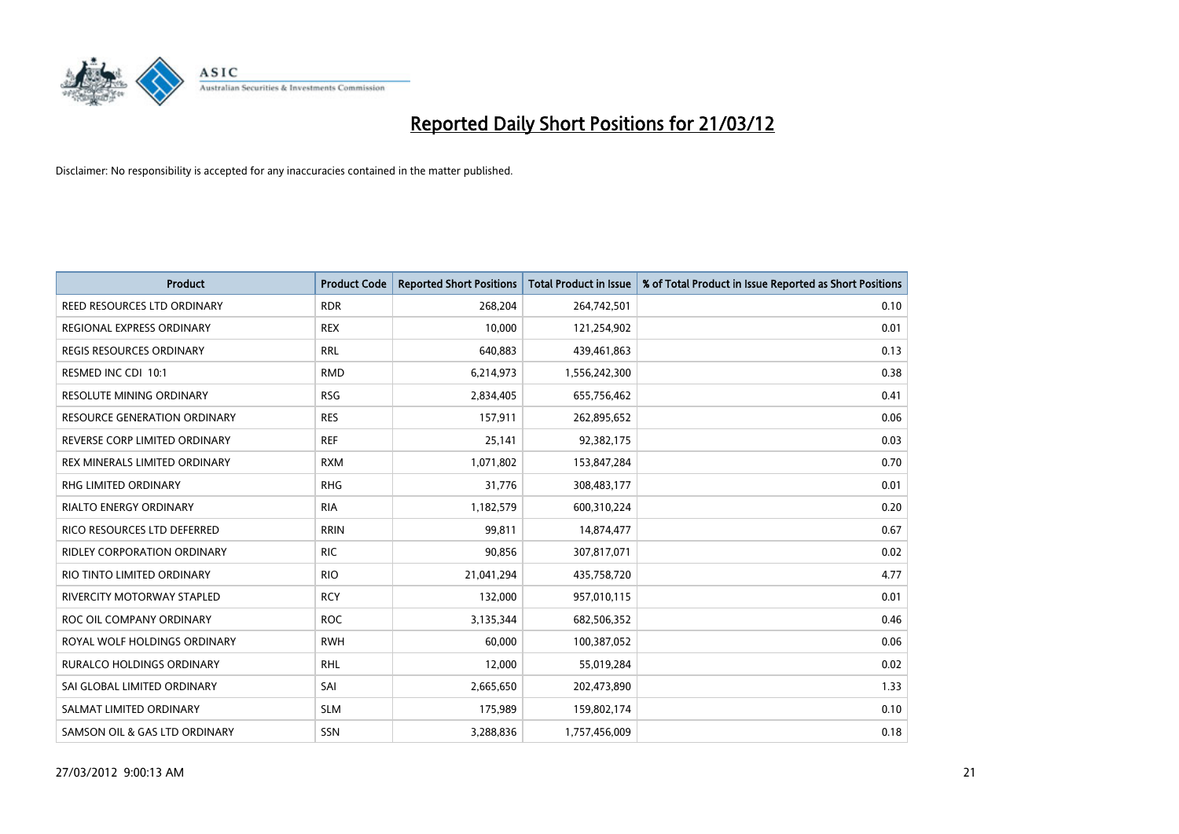

| Product                             | <b>Product Code</b> | <b>Reported Short Positions</b> | <b>Total Product in Issue</b> | % of Total Product in Issue Reported as Short Positions |
|-------------------------------------|---------------------|---------------------------------|-------------------------------|---------------------------------------------------------|
| REED RESOURCES LTD ORDINARY         | <b>RDR</b>          | 268,204                         | 264,742,501                   | 0.10                                                    |
| REGIONAL EXPRESS ORDINARY           | <b>REX</b>          | 10,000                          | 121,254,902                   | 0.01                                                    |
| REGIS RESOURCES ORDINARY            | <b>RRL</b>          | 640,883                         | 439,461,863                   | 0.13                                                    |
| RESMED INC CDI 10:1                 | <b>RMD</b>          | 6,214,973                       | 1,556,242,300                 | 0.38                                                    |
| <b>RESOLUTE MINING ORDINARY</b>     | <b>RSG</b>          | 2,834,405                       | 655,756,462                   | 0.41                                                    |
| <b>RESOURCE GENERATION ORDINARY</b> | <b>RES</b>          | 157,911                         | 262,895,652                   | 0.06                                                    |
| REVERSE CORP LIMITED ORDINARY       | <b>REF</b>          | 25,141                          | 92,382,175                    | 0.03                                                    |
| REX MINERALS LIMITED ORDINARY       | <b>RXM</b>          | 1,071,802                       | 153,847,284                   | 0.70                                                    |
| <b>RHG LIMITED ORDINARY</b>         | <b>RHG</b>          | 31,776                          | 308,483,177                   | 0.01                                                    |
| <b>RIALTO ENERGY ORDINARY</b>       | <b>RIA</b>          | 1,182,579                       | 600,310,224                   | 0.20                                                    |
| RICO RESOURCES LTD DEFERRED         | <b>RRIN</b>         | 99,811                          | 14,874,477                    | 0.67                                                    |
| <b>RIDLEY CORPORATION ORDINARY</b>  | <b>RIC</b>          | 90,856                          | 307,817,071                   | 0.02                                                    |
| RIO TINTO LIMITED ORDINARY          | <b>RIO</b>          | 21,041,294                      | 435,758,720                   | 4.77                                                    |
| RIVERCITY MOTORWAY STAPLED          | <b>RCY</b>          | 132,000                         | 957,010,115                   | 0.01                                                    |
| ROC OIL COMPANY ORDINARY            | <b>ROC</b>          | 3,135,344                       | 682,506,352                   | 0.46                                                    |
| ROYAL WOLF HOLDINGS ORDINARY        | <b>RWH</b>          | 60,000                          | 100,387,052                   | 0.06                                                    |
| RURALCO HOLDINGS ORDINARY           | <b>RHL</b>          | 12,000                          | 55,019,284                    | 0.02                                                    |
| SAI GLOBAL LIMITED ORDINARY         | SAI                 | 2,665,650                       | 202,473,890                   | 1.33                                                    |
| SALMAT LIMITED ORDINARY             | <b>SLM</b>          | 175,989                         | 159,802,174                   | 0.10                                                    |
| SAMSON OIL & GAS LTD ORDINARY       | SSN                 | 3,288,836                       | 1,757,456,009                 | 0.18                                                    |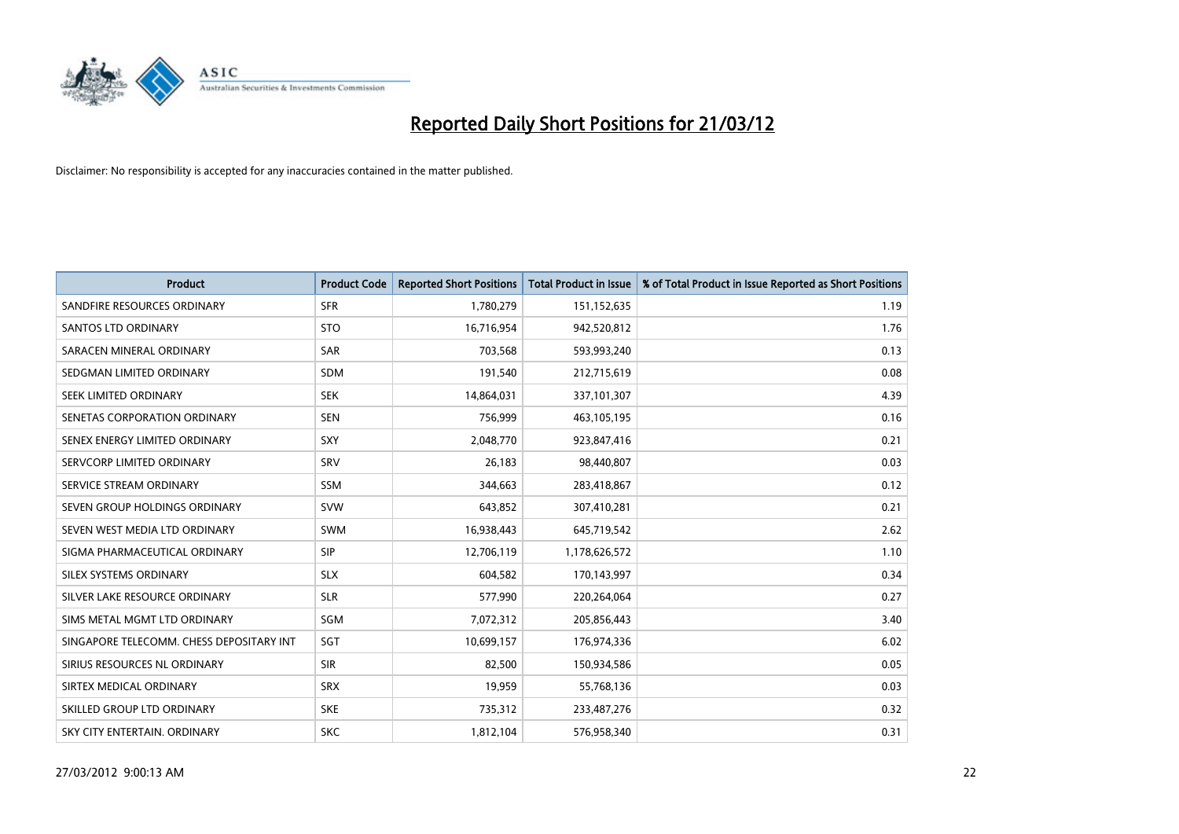

| <b>Product</b>                           | <b>Product Code</b> | <b>Reported Short Positions</b> | <b>Total Product in Issue</b> | % of Total Product in Issue Reported as Short Positions |
|------------------------------------------|---------------------|---------------------------------|-------------------------------|---------------------------------------------------------|
| SANDFIRE RESOURCES ORDINARY              | <b>SFR</b>          | 1,780,279                       | 151,152,635                   | 1.19                                                    |
| <b>SANTOS LTD ORDINARY</b>               | <b>STO</b>          | 16,716,954                      | 942,520,812                   | 1.76                                                    |
| SARACEN MINERAL ORDINARY                 | <b>SAR</b>          | 703,568                         | 593,993,240                   | 0.13                                                    |
| SEDGMAN LIMITED ORDINARY                 | <b>SDM</b>          | 191,540                         | 212,715,619                   | 0.08                                                    |
| SEEK LIMITED ORDINARY                    | <b>SEK</b>          | 14,864,031                      | 337,101,307                   | 4.39                                                    |
| SENETAS CORPORATION ORDINARY             | <b>SEN</b>          | 756,999                         | 463,105,195                   | 0.16                                                    |
| SENEX ENERGY LIMITED ORDINARY            | <b>SXY</b>          | 2,048,770                       | 923,847,416                   | 0.21                                                    |
| SERVCORP LIMITED ORDINARY                | SRV                 | 26,183                          | 98,440,807                    | 0.03                                                    |
| SERVICE STREAM ORDINARY                  | SSM                 | 344,663                         | 283,418,867                   | 0.12                                                    |
| SEVEN GROUP HOLDINGS ORDINARY            | <b>SVW</b>          | 643,852                         | 307,410,281                   | 0.21                                                    |
| SEVEN WEST MEDIA LTD ORDINARY            | SWM                 | 16,938,443                      | 645,719,542                   | 2.62                                                    |
| SIGMA PHARMACEUTICAL ORDINARY            | <b>SIP</b>          | 12,706,119                      | 1,178,626,572                 | 1.10                                                    |
| SILEX SYSTEMS ORDINARY                   | <b>SLX</b>          | 604,582                         | 170,143,997                   | 0.34                                                    |
| SILVER LAKE RESOURCE ORDINARY            | <b>SLR</b>          | 577,990                         | 220,264,064                   | 0.27                                                    |
| SIMS METAL MGMT LTD ORDINARY             | SGM                 | 7,072,312                       | 205,856,443                   | 3.40                                                    |
| SINGAPORE TELECOMM. CHESS DEPOSITARY INT | SGT                 | 10,699,157                      | 176,974,336                   | 6.02                                                    |
| SIRIUS RESOURCES NL ORDINARY             | <b>SIR</b>          | 82,500                          | 150,934,586                   | 0.05                                                    |
| SIRTEX MEDICAL ORDINARY                  | <b>SRX</b>          | 19,959                          | 55,768,136                    | 0.03                                                    |
| SKILLED GROUP LTD ORDINARY               | <b>SKE</b>          | 735,312                         | 233,487,276                   | 0.32                                                    |
| SKY CITY ENTERTAIN. ORDINARY             | <b>SKC</b>          | 1,812,104                       | 576,958,340                   | 0.31                                                    |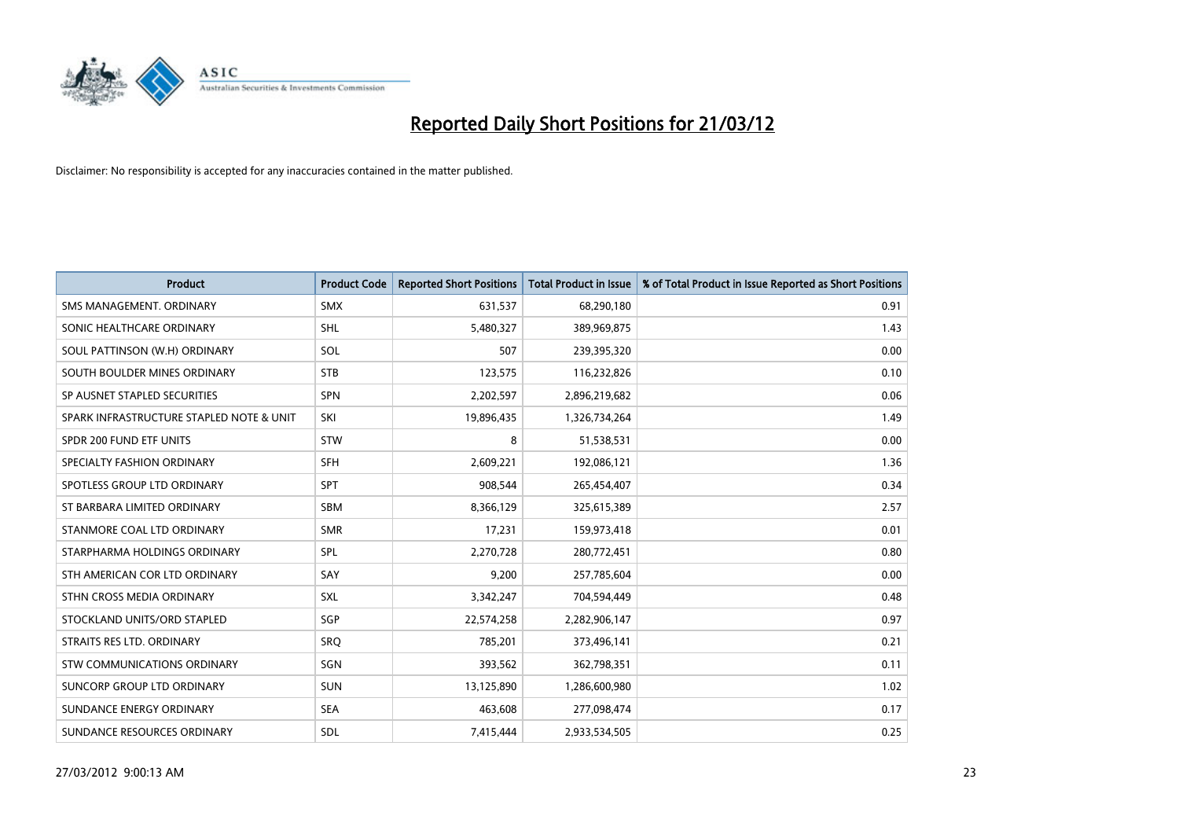

| <b>Product</b>                           | <b>Product Code</b> | <b>Reported Short Positions</b> | <b>Total Product in Issue</b> | % of Total Product in Issue Reported as Short Positions |
|------------------------------------------|---------------------|---------------------------------|-------------------------------|---------------------------------------------------------|
| SMS MANAGEMENT, ORDINARY                 | <b>SMX</b>          | 631,537                         | 68,290,180                    | 0.91                                                    |
| SONIC HEALTHCARE ORDINARY                | <b>SHL</b>          | 5,480,327                       | 389,969,875                   | 1.43                                                    |
| SOUL PATTINSON (W.H) ORDINARY            | SOL                 | 507                             | 239,395,320                   | 0.00                                                    |
| SOUTH BOULDER MINES ORDINARY             | <b>STB</b>          | 123,575                         | 116,232,826                   | 0.10                                                    |
| SP AUSNET STAPLED SECURITIES             | SPN                 | 2,202,597                       | 2,896,219,682                 | 0.06                                                    |
| SPARK INFRASTRUCTURE STAPLED NOTE & UNIT | SKI                 | 19,896,435                      | 1,326,734,264                 | 1.49                                                    |
| SPDR 200 FUND ETF UNITS                  | <b>STW</b>          | 8                               | 51,538,531                    | 0.00                                                    |
| SPECIALTY FASHION ORDINARY               | <b>SFH</b>          | 2,609,221                       | 192,086,121                   | 1.36                                                    |
| SPOTLESS GROUP LTD ORDINARY              | <b>SPT</b>          | 908,544                         | 265,454,407                   | 0.34                                                    |
| ST BARBARA LIMITED ORDINARY              | <b>SBM</b>          | 8,366,129                       | 325,615,389                   | 2.57                                                    |
| STANMORE COAL LTD ORDINARY               | <b>SMR</b>          | 17,231                          | 159,973,418                   | 0.01                                                    |
| STARPHARMA HOLDINGS ORDINARY             | <b>SPL</b>          | 2,270,728                       | 280,772,451                   | 0.80                                                    |
| STH AMERICAN COR LTD ORDINARY            | SAY                 | 9,200                           | 257,785,604                   | 0.00                                                    |
| STHN CROSS MEDIA ORDINARY                | SXL                 | 3,342,247                       | 704,594,449                   | 0.48                                                    |
| STOCKLAND UNITS/ORD STAPLED              | SGP                 | 22,574,258                      | 2,282,906,147                 | 0.97                                                    |
| STRAITS RES LTD. ORDINARY                | <b>SRQ</b>          | 785,201                         | 373,496,141                   | 0.21                                                    |
| STW COMMUNICATIONS ORDINARY              | SGN                 | 393,562                         | 362,798,351                   | 0.11                                                    |
| SUNCORP GROUP LTD ORDINARY               | <b>SUN</b>          | 13,125,890                      | 1,286,600,980                 | 1.02                                                    |
| SUNDANCE ENERGY ORDINARY                 | <b>SEA</b>          | 463,608                         | 277,098,474                   | 0.17                                                    |
| SUNDANCE RESOURCES ORDINARY              | <b>SDL</b>          | 7,415,444                       | 2,933,534,505                 | 0.25                                                    |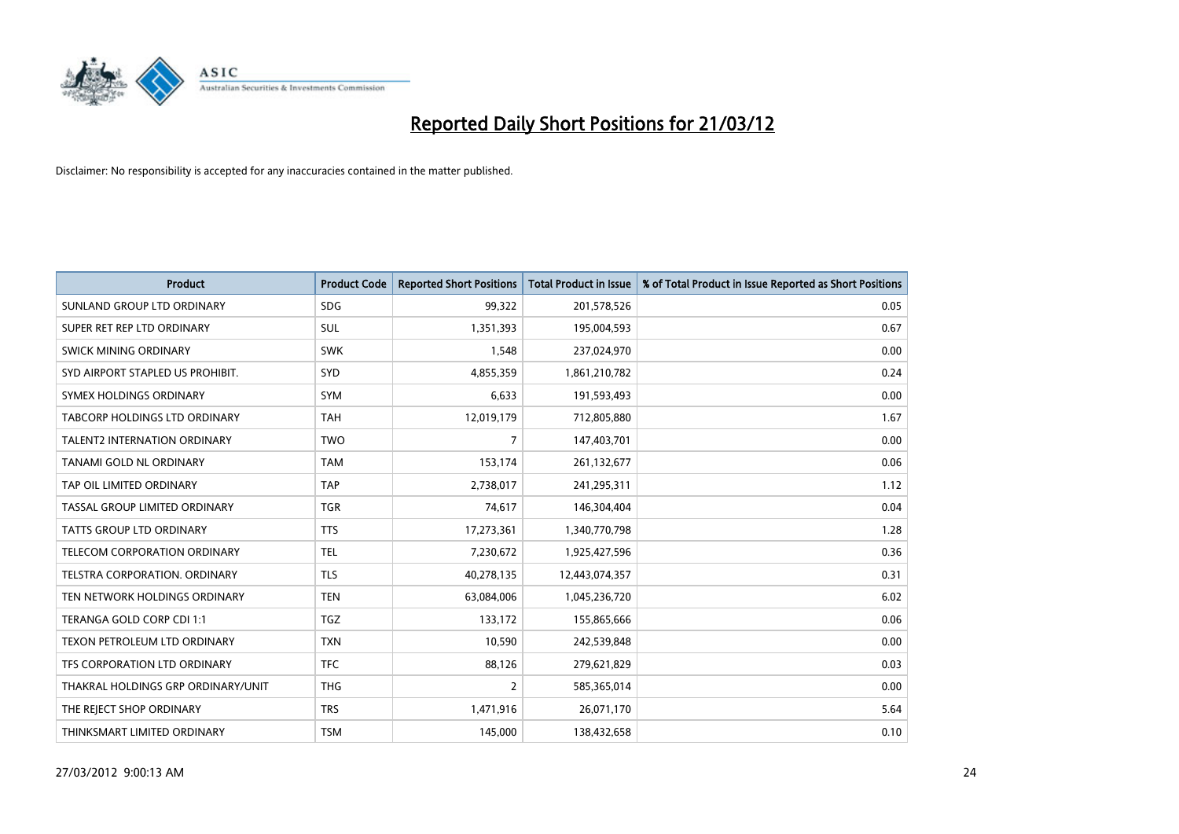

| <b>Product</b>                       | <b>Product Code</b> | <b>Reported Short Positions</b> | <b>Total Product in Issue</b> | % of Total Product in Issue Reported as Short Positions |
|--------------------------------------|---------------------|---------------------------------|-------------------------------|---------------------------------------------------------|
| SUNLAND GROUP LTD ORDINARY           | <b>SDG</b>          | 99,322                          | 201,578,526                   | 0.05                                                    |
| SUPER RET REP LTD ORDINARY           | <b>SUL</b>          | 1,351,393                       | 195,004,593                   | 0.67                                                    |
| <b>SWICK MINING ORDINARY</b>         | <b>SWK</b>          | 1,548                           | 237,024,970                   | 0.00                                                    |
| SYD AIRPORT STAPLED US PROHIBIT.     | <b>SYD</b>          | 4,855,359                       | 1,861,210,782                 | 0.24                                                    |
| SYMEX HOLDINGS ORDINARY              | <b>SYM</b>          | 6,633                           | 191,593,493                   | 0.00                                                    |
| <b>TABCORP HOLDINGS LTD ORDINARY</b> | <b>TAH</b>          | 12,019,179                      | 712,805,880                   | 1.67                                                    |
| <b>TALENT2 INTERNATION ORDINARY</b>  | <b>TWO</b>          | 7                               | 147,403,701                   | 0.00                                                    |
| TANAMI GOLD NL ORDINARY              | <b>TAM</b>          | 153,174                         | 261,132,677                   | 0.06                                                    |
| TAP OIL LIMITED ORDINARY             | <b>TAP</b>          | 2,738,017                       | 241,295,311                   | 1.12                                                    |
| TASSAL GROUP LIMITED ORDINARY        | <b>TGR</b>          | 74,617                          | 146,304,404                   | 0.04                                                    |
| TATTS GROUP LTD ORDINARY             | <b>TTS</b>          | 17,273,361                      | 1,340,770,798                 | 1.28                                                    |
| TELECOM CORPORATION ORDINARY         | <b>TEL</b>          | 7,230,672                       | 1,925,427,596                 | 0.36                                                    |
| TELSTRA CORPORATION. ORDINARY        | <b>TLS</b>          | 40,278,135                      | 12,443,074,357                | 0.31                                                    |
| TEN NETWORK HOLDINGS ORDINARY        | <b>TEN</b>          | 63,084,006                      | 1,045,236,720                 | 6.02                                                    |
| TERANGA GOLD CORP CDI 1:1            | <b>TGZ</b>          | 133,172                         | 155,865,666                   | 0.06                                                    |
| TEXON PETROLEUM LTD ORDINARY         | <b>TXN</b>          | 10,590                          | 242,539,848                   | 0.00                                                    |
| TFS CORPORATION LTD ORDINARY         | <b>TFC</b>          | 88,126                          | 279,621,829                   | 0.03                                                    |
| THAKRAL HOLDINGS GRP ORDINARY/UNIT   | <b>THG</b>          | $\overline{2}$                  | 585,365,014                   | 0.00                                                    |
| THE REJECT SHOP ORDINARY             | <b>TRS</b>          | 1,471,916                       | 26,071,170                    | 5.64                                                    |
| THINKSMART LIMITED ORDINARY          | <b>TSM</b>          | 145,000                         | 138,432,658                   | 0.10                                                    |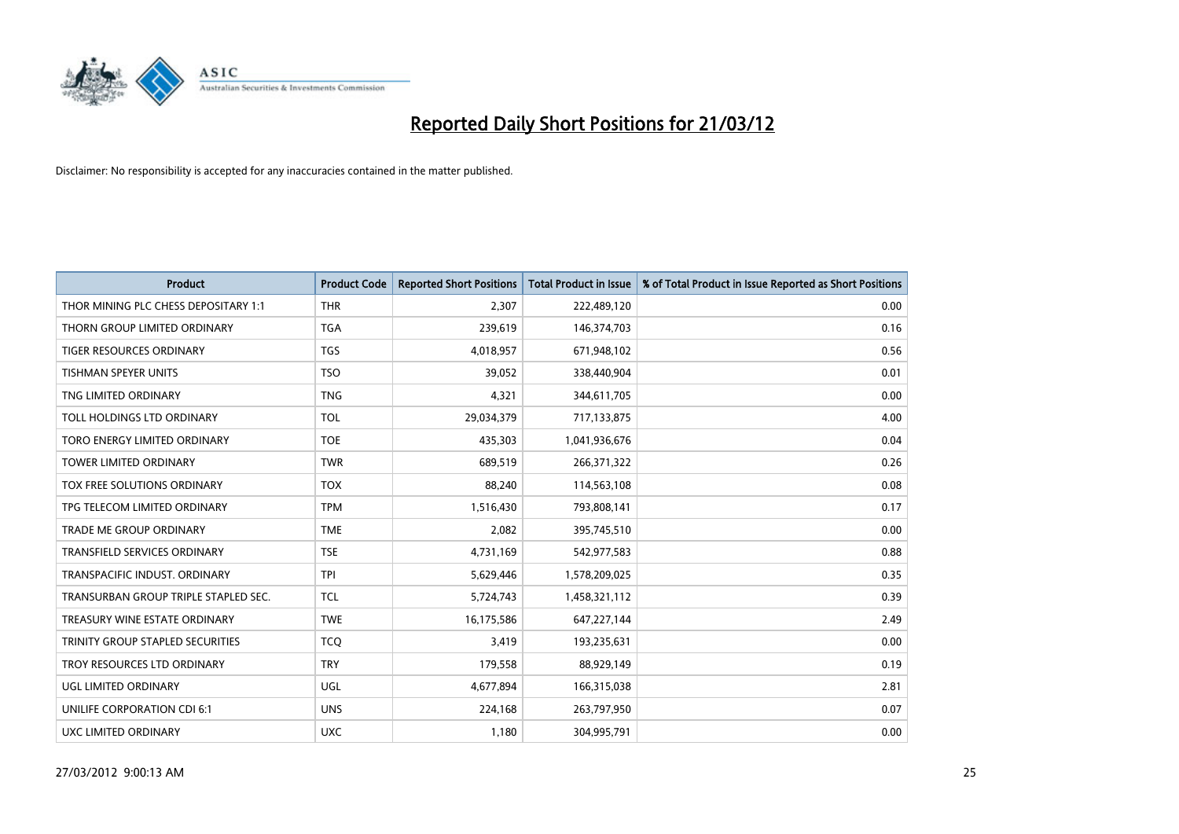

| <b>Product</b>                       | <b>Product Code</b> | <b>Reported Short Positions</b> | <b>Total Product in Issue</b> | % of Total Product in Issue Reported as Short Positions |
|--------------------------------------|---------------------|---------------------------------|-------------------------------|---------------------------------------------------------|
| THOR MINING PLC CHESS DEPOSITARY 1:1 | <b>THR</b>          | 2,307                           | 222,489,120                   | 0.00                                                    |
| THORN GROUP LIMITED ORDINARY         | <b>TGA</b>          | 239,619                         | 146,374,703                   | 0.16                                                    |
| TIGER RESOURCES ORDINARY             | TGS                 | 4,018,957                       | 671,948,102                   | 0.56                                                    |
| <b>TISHMAN SPEYER UNITS</b>          | <b>TSO</b>          | 39,052                          | 338,440,904                   | 0.01                                                    |
| TNG LIMITED ORDINARY                 | <b>TNG</b>          | 4,321                           | 344,611,705                   | 0.00                                                    |
| TOLL HOLDINGS LTD ORDINARY           | <b>TOL</b>          | 29,034,379                      | 717,133,875                   | 4.00                                                    |
| TORO ENERGY LIMITED ORDINARY         | <b>TOE</b>          | 435,303                         | 1,041,936,676                 | 0.04                                                    |
| TOWER LIMITED ORDINARY               | <b>TWR</b>          | 689,519                         | 266,371,322                   | 0.26                                                    |
| <b>TOX FREE SOLUTIONS ORDINARY</b>   | <b>TOX</b>          | 88,240                          | 114,563,108                   | 0.08                                                    |
| TPG TELECOM LIMITED ORDINARY         | <b>TPM</b>          | 1,516,430                       | 793,808,141                   | 0.17                                                    |
| TRADE ME GROUP ORDINARY              | <b>TME</b>          | 2,082                           | 395,745,510                   | 0.00                                                    |
| TRANSFIELD SERVICES ORDINARY         | <b>TSE</b>          | 4,731,169                       | 542,977,583                   | 0.88                                                    |
| TRANSPACIFIC INDUST, ORDINARY        | <b>TPI</b>          | 5,629,446                       | 1,578,209,025                 | 0.35                                                    |
| TRANSURBAN GROUP TRIPLE STAPLED SEC. | <b>TCL</b>          | 5,724,743                       | 1,458,321,112                 | 0.39                                                    |
| TREASURY WINE ESTATE ORDINARY        | <b>TWE</b>          | 16,175,586                      | 647,227,144                   | 2.49                                                    |
| TRINITY GROUP STAPLED SECURITIES     | <b>TCO</b>          | 3,419                           | 193,235,631                   | 0.00                                                    |
| TROY RESOURCES LTD ORDINARY          | <b>TRY</b>          | 179,558                         | 88,929,149                    | 0.19                                                    |
| UGL LIMITED ORDINARY                 | UGL                 | 4,677,894                       | 166,315,038                   | 2.81                                                    |
| UNILIFE CORPORATION CDI 6:1          | <b>UNS</b>          | 224,168                         | 263,797,950                   | 0.07                                                    |
| <b>UXC LIMITED ORDINARY</b>          | <b>UXC</b>          | 1,180                           | 304,995,791                   | 0.00                                                    |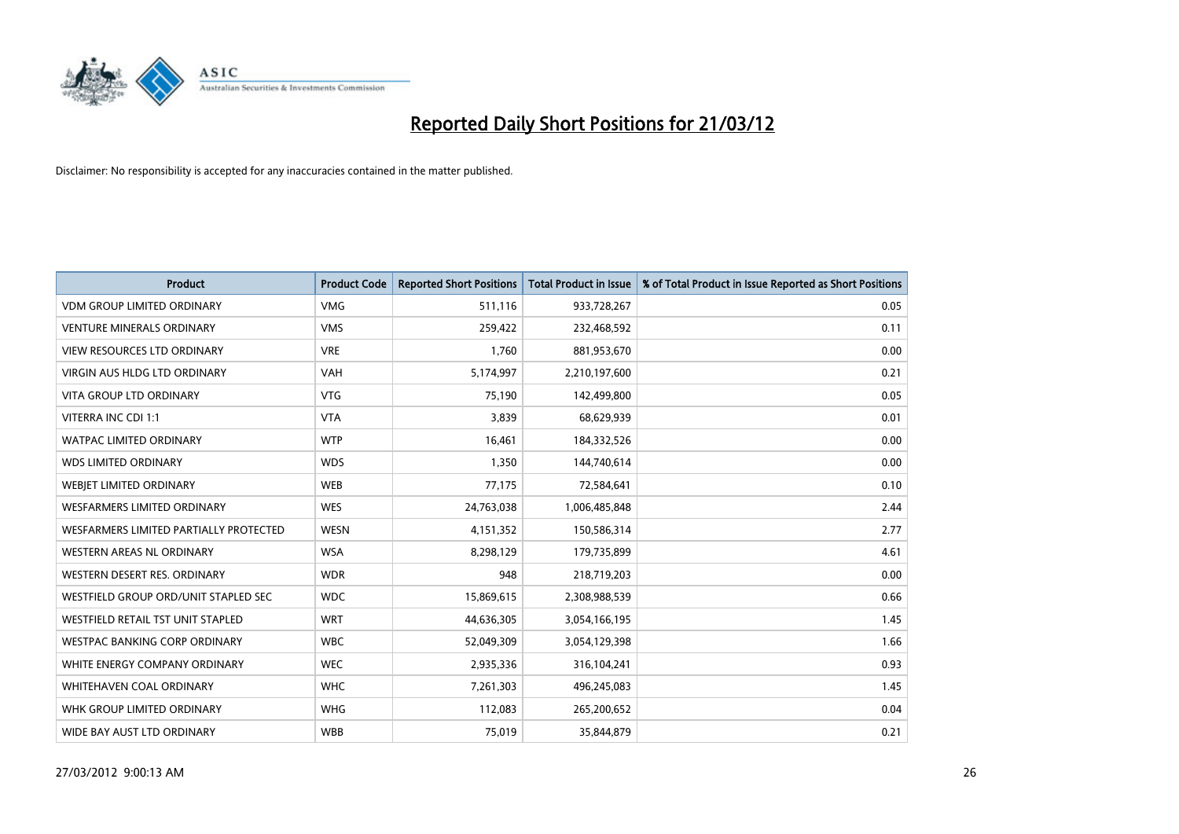

| <b>Product</b>                         | <b>Product Code</b> | <b>Reported Short Positions</b> | <b>Total Product in Issue</b> | % of Total Product in Issue Reported as Short Positions |
|----------------------------------------|---------------------|---------------------------------|-------------------------------|---------------------------------------------------------|
| <b>VDM GROUP LIMITED ORDINARY</b>      | <b>VMG</b>          | 511,116                         | 933,728,267                   | 0.05                                                    |
| <b>VENTURE MINERALS ORDINARY</b>       | <b>VMS</b>          | 259,422                         | 232,468,592                   | 0.11                                                    |
| <b>VIEW RESOURCES LTD ORDINARY</b>     | <b>VRE</b>          | 1,760                           | 881,953,670                   | 0.00                                                    |
| VIRGIN AUS HLDG LTD ORDINARY           | <b>VAH</b>          | 5,174,997                       | 2,210,197,600                 | 0.21                                                    |
| <b>VITA GROUP LTD ORDINARY</b>         | <b>VTG</b>          | 75,190                          | 142,499,800                   | 0.05                                                    |
| VITERRA INC CDI 1:1                    | <b>VTA</b>          | 3,839                           | 68,629,939                    | 0.01                                                    |
| <b>WATPAC LIMITED ORDINARY</b>         | <b>WTP</b>          | 16,461                          | 184,332,526                   | 0.00                                                    |
| <b>WDS LIMITED ORDINARY</b>            | <b>WDS</b>          | 1,350                           | 144,740,614                   | 0.00                                                    |
| <b>WEBJET LIMITED ORDINARY</b>         | <b>WEB</b>          | 77,175                          | 72,584,641                    | 0.10                                                    |
| <b>WESFARMERS LIMITED ORDINARY</b>     | <b>WES</b>          | 24,763,038                      | 1,006,485,848                 | 2.44                                                    |
| WESFARMERS LIMITED PARTIALLY PROTECTED | <b>WESN</b>         | 4,151,352                       | 150,586,314                   | 2.77                                                    |
| <b>WESTERN AREAS NL ORDINARY</b>       | <b>WSA</b>          | 8,298,129                       | 179,735,899                   | 4.61                                                    |
| WESTERN DESERT RES. ORDINARY           | <b>WDR</b>          | 948                             | 218,719,203                   | 0.00                                                    |
| WESTFIELD GROUP ORD/UNIT STAPLED SEC   | <b>WDC</b>          | 15,869,615                      | 2,308,988,539                 | 0.66                                                    |
| WESTFIELD RETAIL TST UNIT STAPLED      | <b>WRT</b>          | 44,636,305                      | 3,054,166,195                 | 1.45                                                    |
| <b>WESTPAC BANKING CORP ORDINARY</b>   | <b>WBC</b>          | 52,049,309                      | 3,054,129,398                 | 1.66                                                    |
| WHITE ENERGY COMPANY ORDINARY          | <b>WEC</b>          | 2,935,336                       | 316,104,241                   | 0.93                                                    |
| WHITEHAVEN COAL ORDINARY               | <b>WHC</b>          | 7,261,303                       | 496,245,083                   | 1.45                                                    |
| WHK GROUP LIMITED ORDINARY             | <b>WHG</b>          | 112,083                         | 265,200,652                   | 0.04                                                    |
| WIDE BAY AUST LTD ORDINARY             | <b>WBB</b>          | 75,019                          | 35,844,879                    | 0.21                                                    |